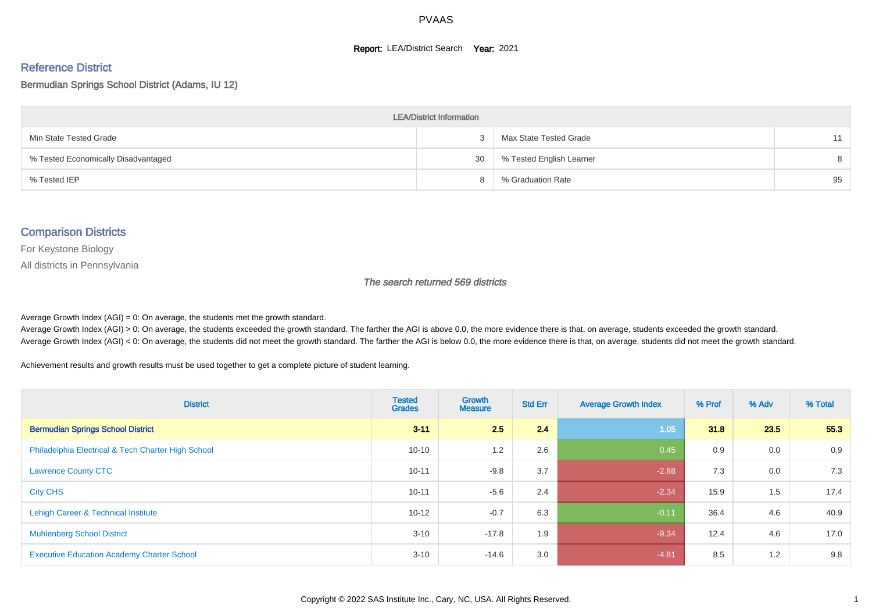#### **Report: LEA/District Search Year: 2021**

# Reference District

#### Bermudian Springs School District (Adams, IU 12)

| <b>LEA/District Information</b>     |    |                          |    |  |  |  |  |  |  |  |
|-------------------------------------|----|--------------------------|----|--|--|--|--|--|--|--|
| Min State Tested Grade              |    | Max State Tested Grade   |    |  |  |  |  |  |  |  |
| % Tested Economically Disadvantaged | 30 | % Tested English Learner | 8  |  |  |  |  |  |  |  |
| % Tested IEP                        |    | % Graduation Rate        | 95 |  |  |  |  |  |  |  |

#### Comparison Districts

For Keystone Biology

All districts in Pennsylvania

The search returned 569 districts

Average Growth Index  $(AGI) = 0$ : On average, the students met the growth standard.

Average Growth Index (AGI) > 0: On average, the students exceeded the growth standard. The farther the AGI is above 0.0, the more evidence there is that, on average, students exceeded the growth standard. Average Growth Index (AGI) < 0: On average, the students did not meet the growth standard. The farther the AGI is below 0.0, the more evidence there is that, on average, students did not meet the growth standard.

Achievement results and growth results must be used together to get a complete picture of student learning.

| <b>District</b>                                    | <b>Tested</b><br><b>Grades</b> | Growth<br><b>Measure</b> | <b>Std Err</b> | <b>Average Growth Index</b> | % Prof | % Adv | % Total |
|----------------------------------------------------|--------------------------------|--------------------------|----------------|-----------------------------|--------|-------|---------|
| <b>Bermudian Springs School District</b>           | $3 - 11$                       | 2.5                      | 2.4            | 1.05                        | 31.8   | 23.5  | 55.3    |
| Philadelphia Electrical & Tech Charter High School | $10 - 10$                      | 1.2                      | 2.6            | 0.45                        | 0.9    | 0.0   | 0.9     |
| <b>Lawrence County CTC</b>                         | $10 - 11$                      | $-9.8$                   | 3.7            | $-2.68$                     | 7.3    | 0.0   | 7.3     |
| <b>City CHS</b>                                    | $10 - 11$                      | $-5.6$                   | 2.4            | $-2.34$                     | 15.9   | 1.5   | 17.4    |
| Lehigh Career & Technical Institute                | $10 - 12$                      | $-0.7$                   | 6.3            | $-0.11$                     | 36.4   | 4.6   | 40.9    |
| <b>Muhlenberg School District</b>                  | $3 - 10$                       | $-17.8$                  | 1.9            | $-9.34$                     | 12.4   | 4.6   | 17.0    |
| <b>Executive Education Academy Charter School</b>  | $3 - 10$                       | $-14.6$                  | 3.0            | $-4.81$                     | 8.5    | 1.2   | 9.8     |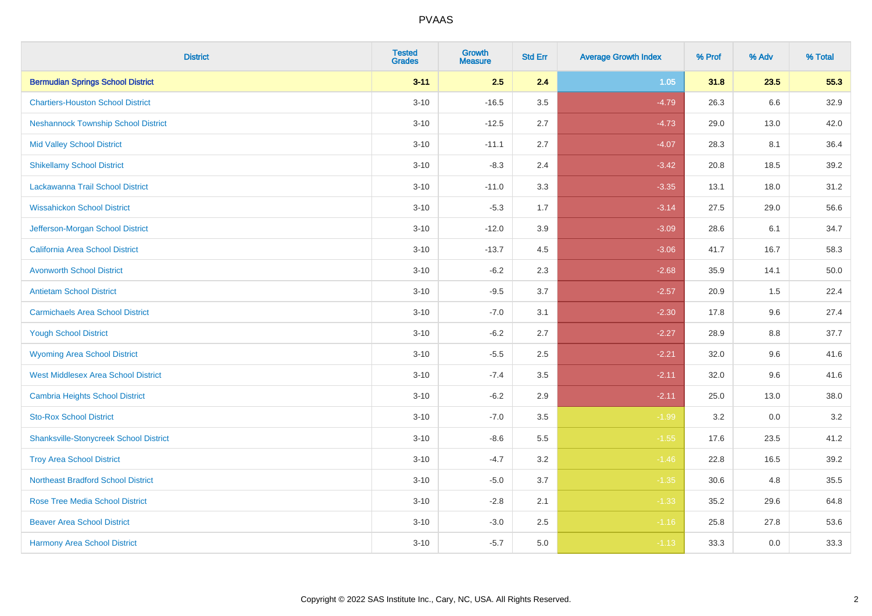| <b>District</b>                               | <b>Tested</b><br><b>Grades</b> | <b>Growth</b><br><b>Measure</b> | <b>Std Err</b> | <b>Average Growth Index</b> | % Prof | % Adv | % Total |
|-----------------------------------------------|--------------------------------|---------------------------------|----------------|-----------------------------|--------|-------|---------|
| <b>Bermudian Springs School District</b>      | $3 - 11$                       | 2.5                             | 2.4            | $1.05$                      | 31.8   | 23.5  | 55.3    |
| <b>Chartiers-Houston School District</b>      | $3 - 10$                       | $-16.5$                         | $3.5\,$        | $-4.79$                     | 26.3   | 6.6   | 32.9    |
| <b>Neshannock Township School District</b>    | $3 - 10$                       | $-12.5$                         | 2.7            | $-4.73$                     | 29.0   | 13.0  | 42.0    |
| <b>Mid Valley School District</b>             | $3 - 10$                       | $-11.1$                         | 2.7            | $-4.07$                     | 28.3   | 8.1   | 36.4    |
| <b>Shikellamy School District</b>             | $3 - 10$                       | $-8.3$                          | 2.4            | $-3.42$                     | 20.8   | 18.5  | 39.2    |
| Lackawanna Trail School District              | $3 - 10$                       | $-11.0$                         | 3.3            | $-3.35$                     | 13.1   | 18.0  | 31.2    |
| <b>Wissahickon School District</b>            | $3 - 10$                       | $-5.3$                          | 1.7            | $-3.14$                     | 27.5   | 29.0  | 56.6    |
| Jefferson-Morgan School District              | $3 - 10$                       | $-12.0$                         | 3.9            | $-3.09$                     | 28.6   | 6.1   | 34.7    |
| California Area School District               | $3 - 10$                       | $-13.7$                         | 4.5            | $-3.06$                     | 41.7   | 16.7  | 58.3    |
| <b>Avonworth School District</b>              | $3 - 10$                       | $-6.2$                          | 2.3            | $-2.68$                     | 35.9   | 14.1  | 50.0    |
| <b>Antietam School District</b>               | $3 - 10$                       | $-9.5$                          | 3.7            | $-2.57$                     | 20.9   | 1.5   | 22.4    |
| <b>Carmichaels Area School District</b>       | $3 - 10$                       | $-7.0$                          | 3.1            | $-2.30$                     | 17.8   | 9.6   | 27.4    |
| <b>Yough School District</b>                  | $3 - 10$                       | $-6.2$                          | 2.7            | $-2.27$                     | 28.9   | 8.8   | 37.7    |
| <b>Wyoming Area School District</b>           | $3 - 10$                       | $-5.5$                          | 2.5            | $-2.21$                     | 32.0   | 9.6   | 41.6    |
| <b>West Middlesex Area School District</b>    | $3 - 10$                       | $-7.4$                          | 3.5            | $-2.11$                     | 32.0   | 9.6   | 41.6    |
| <b>Cambria Heights School District</b>        | $3 - 10$                       | $-6.2$                          | 2.9            | $-2.11$                     | 25.0   | 13.0  | 38.0    |
| <b>Sto-Rox School District</b>                | $3 - 10$                       | $-7.0$                          | 3.5            | $-1.99$                     | 3.2    | 0.0   | $3.2\,$ |
| <b>Shanksville-Stonycreek School District</b> | $3 - 10$                       | $-8.6$                          | 5.5            | $-1.55$                     | 17.6   | 23.5  | 41.2    |
| <b>Troy Area School District</b>              | $3 - 10$                       | $-4.7$                          | 3.2            | $-1.46$                     | 22.8   | 16.5  | 39.2    |
| <b>Northeast Bradford School District</b>     | $3 - 10$                       | $-5.0$                          | 3.7            | $-1.35$                     | 30.6   | 4.8   | 35.5    |
| <b>Rose Tree Media School District</b>        | $3 - 10$                       | $-2.8$                          | 2.1            | $-1.33$                     | 35.2   | 29.6  | 64.8    |
| <b>Beaver Area School District</b>            | $3 - 10$                       | $-3.0$                          | 2.5            | $-1.16$                     | 25.8   | 27.8  | 53.6    |
| <b>Harmony Area School District</b>           | $3 - 10$                       | $-5.7$                          | 5.0            | $-1.13$                     | 33.3   | 0.0   | 33.3    |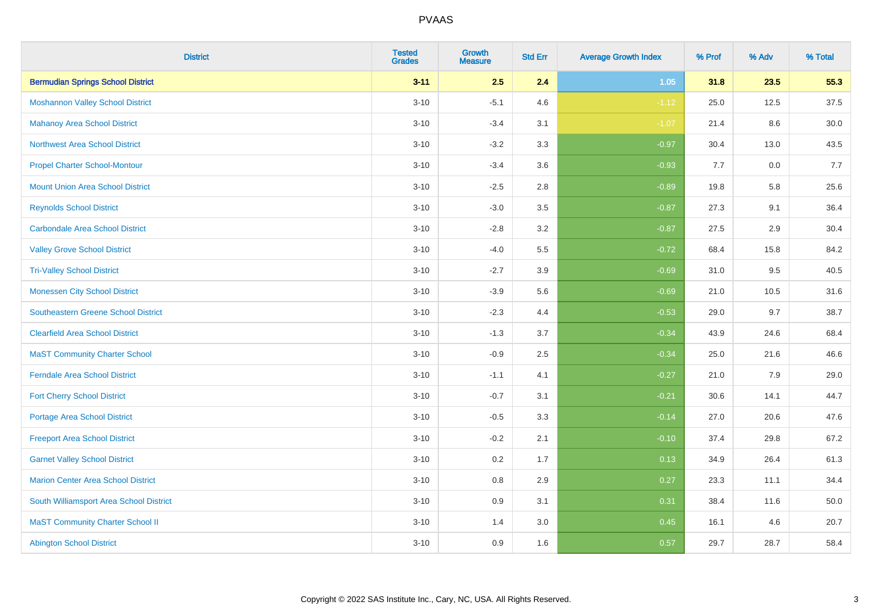| <b>District</b>                            | <b>Tested</b><br><b>Grades</b> | <b>Growth</b><br><b>Measure</b> | <b>Std Err</b> | <b>Average Growth Index</b> | % Prof | % Adv | % Total  |
|--------------------------------------------|--------------------------------|---------------------------------|----------------|-----------------------------|--------|-------|----------|
| <b>Bermudian Springs School District</b>   | $3 - 11$                       | 2.5                             | 2.4            | 1.05                        | 31.8   | 23.5  | 55.3     |
| <b>Moshannon Valley School District</b>    | $3 - 10$                       | $-5.1$                          | 4.6            | $-1.12$                     | 25.0   | 12.5  | 37.5     |
| <b>Mahanoy Area School District</b>        | $3 - 10$                       | $-3.4$                          | 3.1            | $-1.07$                     | 21.4   | 8.6   | $30.0\,$ |
| Northwest Area School District             | $3 - 10$                       | $-3.2$                          | 3.3            | $-0.97$                     | 30.4   | 13.0  | 43.5     |
| <b>Propel Charter School-Montour</b>       | $3 - 10$                       | $-3.4$                          | 3.6            | $-0.93$                     | 7.7    | 0.0   | 7.7      |
| <b>Mount Union Area School District</b>    | $3 - 10$                       | $-2.5$                          | 2.8            | $-0.89$                     | 19.8   | 5.8   | 25.6     |
| <b>Reynolds School District</b>            | $3 - 10$                       | $-3.0$                          | 3.5            | $-0.87$                     | 27.3   | 9.1   | 36.4     |
| <b>Carbondale Area School District</b>     | $3 - 10$                       | $-2.8$                          | 3.2            | $-0.87$                     | 27.5   | 2.9   | 30.4     |
| <b>Valley Grove School District</b>        | $3 - 10$                       | $-4.0$                          | 5.5            | $-0.72$                     | 68.4   | 15.8  | 84.2     |
| <b>Tri-Valley School District</b>          | $3 - 10$                       | $-2.7$                          | 3.9            | $-0.69$                     | 31.0   | 9.5   | 40.5     |
| <b>Monessen City School District</b>       | $3 - 10$                       | $-3.9$                          | 5.6            | $-0.69$                     | 21.0   | 10.5  | 31.6     |
| <b>Southeastern Greene School District</b> | $3 - 10$                       | $-2.3$                          | 4.4            | $-0.53$                     | 29.0   | 9.7   | 38.7     |
| <b>Clearfield Area School District</b>     | $3 - 10$                       | $-1.3$                          | 3.7            | $-0.34$                     | 43.9   | 24.6  | 68.4     |
| <b>MaST Community Charter School</b>       | $3 - 10$                       | $-0.9$                          | 2.5            | $-0.34$                     | 25.0   | 21.6  | 46.6     |
| <b>Ferndale Area School District</b>       | $3 - 10$                       | $-1.1$                          | 4.1            | $-0.27$                     | 21.0   | 7.9   | 29.0     |
| <b>Fort Cherry School District</b>         | $3 - 10$                       | $-0.7$                          | 3.1            | $-0.21$                     | 30.6   | 14.1  | 44.7     |
| Portage Area School District               | $3 - 10$                       | $-0.5$                          | 3.3            | $-0.14$                     | 27.0   | 20.6  | 47.6     |
| <b>Freeport Area School District</b>       | $3 - 10$                       | $-0.2$                          | 2.1            | $-0.10$                     | 37.4   | 29.8  | 67.2     |
| <b>Garnet Valley School District</b>       | $3 - 10$                       | 0.2                             | 1.7            | 0.13                        | 34.9   | 26.4  | 61.3     |
| <b>Marion Center Area School District</b>  | $3 - 10$                       | 0.8                             | 2.9            | 0.27                        | 23.3   | 11.1  | 34.4     |
| South Williamsport Area School District    | $3 - 10$                       | 0.9                             | 3.1            | 0.31                        | 38.4   | 11.6  | 50.0     |
| <b>MaST Community Charter School II</b>    | $3 - 10$                       | 1.4                             | 3.0            | 0.45                        | 16.1   | 4.6   | 20.7     |
| <b>Abington School District</b>            | $3 - 10$                       | 0.9                             | 1.6            | 0.57                        | 29.7   | 28.7  | 58.4     |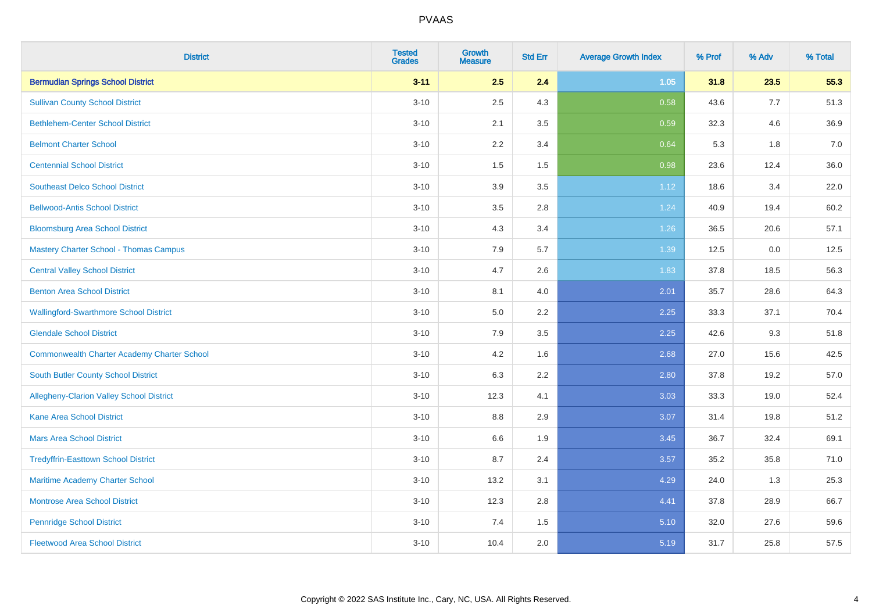| <b>District</b>                                    | <b>Tested</b><br><b>Grades</b> | <b>Growth</b><br><b>Measure</b> | <b>Std Err</b> | <b>Average Growth Index</b> | % Prof | % Adv | % Total |
|----------------------------------------------------|--------------------------------|---------------------------------|----------------|-----------------------------|--------|-------|---------|
| <b>Bermudian Springs School District</b>           | $3 - 11$                       | 2.5                             | 2.4            | 1.05                        | 31.8   | 23.5  | 55.3    |
| <b>Sullivan County School District</b>             | $3 - 10$                       | 2.5                             | 4.3            | 0.58                        | 43.6   | 7.7   | 51.3    |
| <b>Bethlehem-Center School District</b>            | $3 - 10$                       | 2.1                             | 3.5            | 0.59                        | 32.3   | 4.6   | 36.9    |
| <b>Belmont Charter School</b>                      | $3 - 10$                       | 2.2                             | 3.4            | 0.64                        | 5.3    | 1.8   | 7.0     |
| <b>Centennial School District</b>                  | $3 - 10$                       | 1.5                             | 1.5            | 0.98                        | 23.6   | 12.4  | 36.0    |
| <b>Southeast Delco School District</b>             | $3 - 10$                       | 3.9                             | 3.5            | 1.12                        | 18.6   | 3.4   | 22.0    |
| <b>Bellwood-Antis School District</b>              | $3 - 10$                       | $3.5\,$                         | 2.8            | 1.24                        | 40.9   | 19.4  | 60.2    |
| <b>Bloomsburg Area School District</b>             | $3 - 10$                       | 4.3                             | 3.4            | 1.26                        | 36.5   | 20.6  | 57.1    |
| <b>Mastery Charter School - Thomas Campus</b>      | $3 - 10$                       | 7.9                             | 5.7            | 1.39                        | 12.5   | 0.0   | 12.5    |
| <b>Central Valley School District</b>              | $3 - 10$                       | 4.7                             | 2.6            | 1.83                        | 37.8   | 18.5  | 56.3    |
| <b>Benton Area School District</b>                 | $3 - 10$                       | 8.1                             | 4.0            | 2.01                        | 35.7   | 28.6  | 64.3    |
| <b>Wallingford-Swarthmore School District</b>      | $3 - 10$                       | 5.0                             | 2.2            | 2.25                        | 33.3   | 37.1  | 70.4    |
| <b>Glendale School District</b>                    | $3 - 10$                       | 7.9                             | 3.5            | 2.25                        | 42.6   | 9.3   | 51.8    |
| <b>Commonwealth Charter Academy Charter School</b> | $3 - 10$                       | 4.2                             | 1.6            | 2.68                        | 27.0   | 15.6  | 42.5    |
| South Butler County School District                | $3 - 10$                       | 6.3                             | 2.2            | 2.80                        | 37.8   | 19.2  | 57.0    |
| Allegheny-Clarion Valley School District           | $3 - 10$                       | 12.3                            | 4.1            | 3.03                        | 33.3   | 19.0  | 52.4    |
| <b>Kane Area School District</b>                   | $3 - 10$                       | 8.8                             | 2.9            | 3.07                        | 31.4   | 19.8  | 51.2    |
| <b>Mars Area School District</b>                   | $3 - 10$                       | 6.6                             | 1.9            | 3.45                        | 36.7   | 32.4  | 69.1    |
| <b>Tredyffrin-Easttown School District</b>         | $3 - 10$                       | 8.7                             | 2.4            | 3.57                        | 35.2   | 35.8  | 71.0    |
| Maritime Academy Charter School                    | $3 - 10$                       | 13.2                            | 3.1            | 4.29                        | 24.0   | 1.3   | 25.3    |
| <b>Montrose Area School District</b>               | $3 - 10$                       | 12.3                            | 2.8            | 4.41                        | 37.8   | 28.9  | 66.7    |
| <b>Pennridge School District</b>                   | $3 - 10$                       | 7.4                             | 1.5            | 5.10                        | 32.0   | 27.6  | 59.6    |
| <b>Fleetwood Area School District</b>              | $3 - 10$                       | 10.4                            | 2.0            | 5.19                        | 31.7   | 25.8  | 57.5    |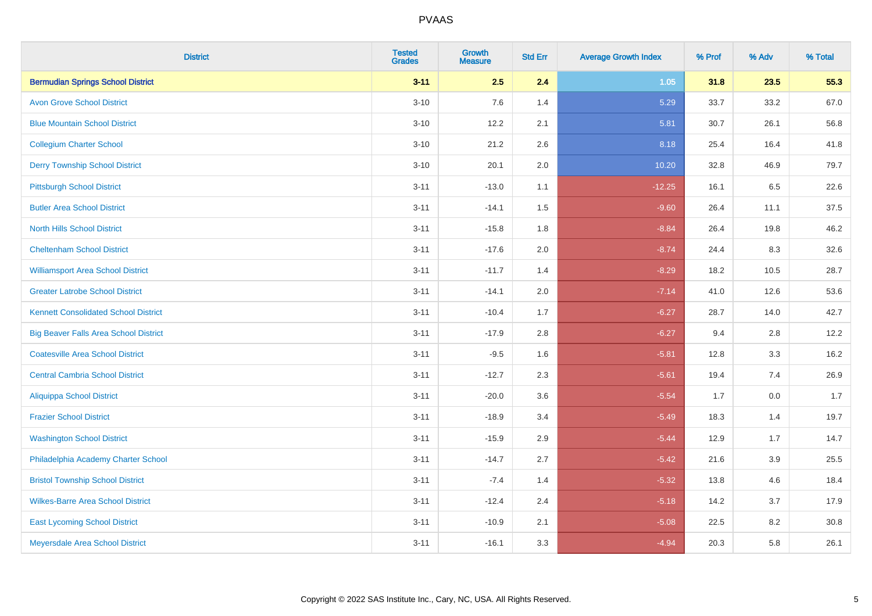| <b>District</b>                              | <b>Tested</b><br><b>Grades</b> | <b>Growth</b><br><b>Measure</b> | <b>Std Err</b> | <b>Average Growth Index</b> | % Prof | % Adv   | % Total |
|----------------------------------------------|--------------------------------|---------------------------------|----------------|-----------------------------|--------|---------|---------|
| <b>Bermudian Springs School District</b>     | $3 - 11$                       | 2.5                             | 2.4            | $1.05$                      | 31.8   | 23.5    | 55.3    |
| <b>Avon Grove School District</b>            | $3 - 10$                       | 7.6                             | 1.4            | 5.29                        | 33.7   | 33.2    | 67.0    |
| <b>Blue Mountain School District</b>         | $3 - 10$                       | 12.2                            | 2.1            | 5.81                        | 30.7   | 26.1    | 56.8    |
| <b>Collegium Charter School</b>              | $3 - 10$                       | 21.2                            | 2.6            | 8.18                        | 25.4   | 16.4    | 41.8    |
| <b>Derry Township School District</b>        | $3 - 10$                       | 20.1                            | 2.0            | 10.20                       | 32.8   | 46.9    | 79.7    |
| <b>Pittsburgh School District</b>            | $3 - 11$                       | $-13.0$                         | 1.1            | $-12.25$                    | 16.1   | 6.5     | 22.6    |
| <b>Butler Area School District</b>           | $3 - 11$                       | $-14.1$                         | 1.5            | $-9.60$                     | 26.4   | 11.1    | 37.5    |
| <b>North Hills School District</b>           | $3 - 11$                       | $-15.8$                         | 1.8            | $-8.84$                     | 26.4   | 19.8    | 46.2    |
| <b>Cheltenham School District</b>            | $3 - 11$                       | $-17.6$                         | 2.0            | $-8.74$                     | 24.4   | 8.3     | 32.6    |
| <b>Williamsport Area School District</b>     | $3 - 11$                       | $-11.7$                         | 1.4            | $-8.29$                     | 18.2   | 10.5    | 28.7    |
| <b>Greater Latrobe School District</b>       | $3 - 11$                       | $-14.1$                         | 2.0            | $-7.14$                     | 41.0   | 12.6    | 53.6    |
| <b>Kennett Consolidated School District</b>  | $3 - 11$                       | $-10.4$                         | 1.7            | $-6.27$                     | 28.7   | 14.0    | 42.7    |
| <b>Big Beaver Falls Area School District</b> | $3 - 11$                       | $-17.9$                         | 2.8            | $-6.27$                     | 9.4    | 2.8     | 12.2    |
| <b>Coatesville Area School District</b>      | $3 - 11$                       | $-9.5$                          | 1.6            | $-5.81$                     | 12.8   | 3.3     | 16.2    |
| <b>Central Cambria School District</b>       | $3 - 11$                       | $-12.7$                         | 2.3            | $-5.61$                     | 19.4   | 7.4     | 26.9    |
| Aliquippa School District                    | $3 - 11$                       | $-20.0$                         | 3.6            | $-5.54$                     | 1.7    | $0.0\,$ | 1.7     |
| <b>Frazier School District</b>               | $3 - 11$                       | $-18.9$                         | 3.4            | $-5.49$                     | 18.3   | 1.4     | 19.7    |
| <b>Washington School District</b>            | $3 - 11$                       | $-15.9$                         | 2.9            | $-5.44$                     | 12.9   | 1.7     | 14.7    |
| Philadelphia Academy Charter School          | $3 - 11$                       | $-14.7$                         | 2.7            | $-5.42$                     | 21.6   | 3.9     | 25.5    |
| <b>Bristol Township School District</b>      | $3 - 11$                       | $-7.4$                          | 1.4            | $-5.32$                     | 13.8   | 4.6     | 18.4    |
| <b>Wilkes-Barre Area School District</b>     | $3 - 11$                       | $-12.4$                         | 2.4            | $-5.18$                     | 14.2   | 3.7     | 17.9    |
| <b>East Lycoming School District</b>         | $3 - 11$                       | $-10.9$                         | 2.1            | $-5.08$                     | 22.5   | 8.2     | 30.8    |
| Meyersdale Area School District              | $3 - 11$                       | $-16.1$                         | 3.3            | $-4.94$                     | 20.3   | 5.8     | 26.1    |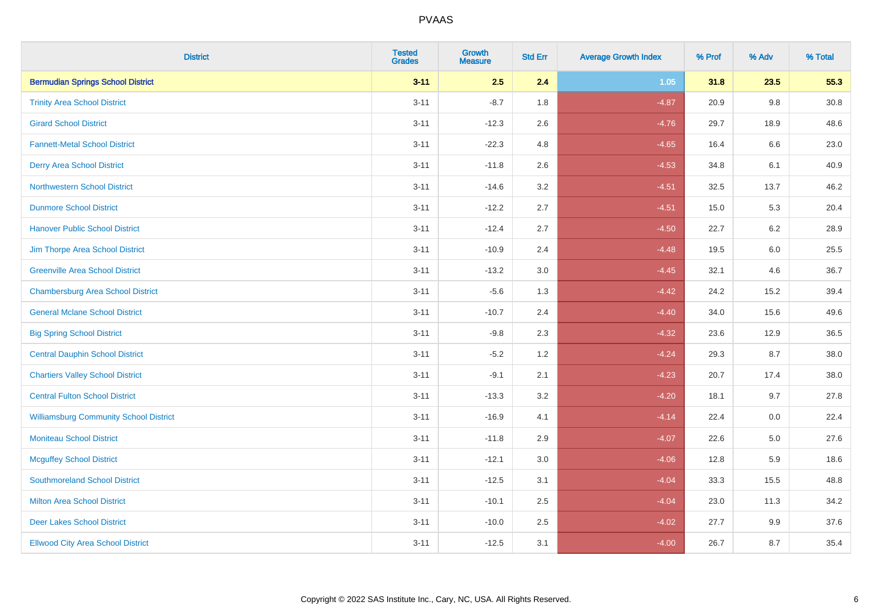| <b>District</b>                               | <b>Tested</b><br><b>Grades</b> | <b>Growth</b><br><b>Measure</b> | <b>Std Err</b> | <b>Average Growth Index</b> | % Prof | % Adv | % Total |
|-----------------------------------------------|--------------------------------|---------------------------------|----------------|-----------------------------|--------|-------|---------|
| <b>Bermudian Springs School District</b>      | $3 - 11$                       | 2.5                             | 2.4            | $1.05$                      | 31.8   | 23.5  | 55.3    |
| <b>Trinity Area School District</b>           | $3 - 11$                       | $-8.7$                          | 1.8            | $-4.87$                     | 20.9   | 9.8   | 30.8    |
| <b>Girard School District</b>                 | $3 - 11$                       | $-12.3$                         | 2.6            | $-4.76$                     | 29.7   | 18.9  | 48.6    |
| <b>Fannett-Metal School District</b>          | $3 - 11$                       | $-22.3$                         | 4.8            | $-4.65$                     | 16.4   | 6.6   | 23.0    |
| <b>Derry Area School District</b>             | $3 - 11$                       | $-11.8$                         | 2.6            | $-4.53$                     | 34.8   | 6.1   | 40.9    |
| <b>Northwestern School District</b>           | $3 - 11$                       | $-14.6$                         | 3.2            | $-4.51$                     | 32.5   | 13.7  | 46.2    |
| <b>Dunmore School District</b>                | $3 - 11$                       | $-12.2$                         | 2.7            | $-4.51$                     | 15.0   | 5.3   | 20.4    |
| <b>Hanover Public School District</b>         | $3 - 11$                       | $-12.4$                         | 2.7            | $-4.50$                     | 22.7   | 6.2   | 28.9    |
| Jim Thorpe Area School District               | $3 - 11$                       | $-10.9$                         | 2.4            | $-4.48$                     | 19.5   | 6.0   | 25.5    |
| <b>Greenville Area School District</b>        | $3 - 11$                       | $-13.2$                         | 3.0            | $-4.45$                     | 32.1   | 4.6   | 36.7    |
| <b>Chambersburg Area School District</b>      | $3 - 11$                       | $-5.6$                          | 1.3            | $-4.42$                     | 24.2   | 15.2  | 39.4    |
| <b>General Mclane School District</b>         | $3 - 11$                       | $-10.7$                         | 2.4            | $-4.40$                     | 34.0   | 15.6  | 49.6    |
| <b>Big Spring School District</b>             | $3 - 11$                       | $-9.8$                          | 2.3            | $-4.32$                     | 23.6   | 12.9  | 36.5    |
| <b>Central Dauphin School District</b>        | $3 - 11$                       | $-5.2$                          | 1.2            | $-4.24$                     | 29.3   | 8.7   | 38.0    |
| <b>Chartiers Valley School District</b>       | $3 - 11$                       | $-9.1$                          | 2.1            | $-4.23$                     | 20.7   | 17.4  | 38.0    |
| <b>Central Fulton School District</b>         | $3 - 11$                       | $-13.3$                         | 3.2            | $-4.20$                     | 18.1   | 9.7   | 27.8    |
| <b>Williamsburg Community School District</b> | $3 - 11$                       | $-16.9$                         | 4.1            | $-4.14$                     | 22.4   | 0.0   | 22.4    |
| <b>Moniteau School District</b>               | $3 - 11$                       | $-11.8$                         | 2.9            | $-4.07$                     | 22.6   | 5.0   | 27.6    |
| <b>Mcguffey School District</b>               | $3 - 11$                       | $-12.1$                         | 3.0            | $-4.06$                     | 12.8   | 5.9   | 18.6    |
| <b>Southmoreland School District</b>          | $3 - 11$                       | $-12.5$                         | 3.1            | $-4.04$                     | 33.3   | 15.5  | 48.8    |
| <b>Milton Area School District</b>            | $3 - 11$                       | $-10.1$                         | 2.5            | $-4.04$                     | 23.0   | 11.3  | 34.2    |
| <b>Deer Lakes School District</b>             | $3 - 11$                       | $-10.0$                         | 2.5            | $-4.02$                     | 27.7   | 9.9   | 37.6    |
| <b>Ellwood City Area School District</b>      | $3 - 11$                       | $-12.5$                         | 3.1            | $-4.00$                     | 26.7   | 8.7   | 35.4    |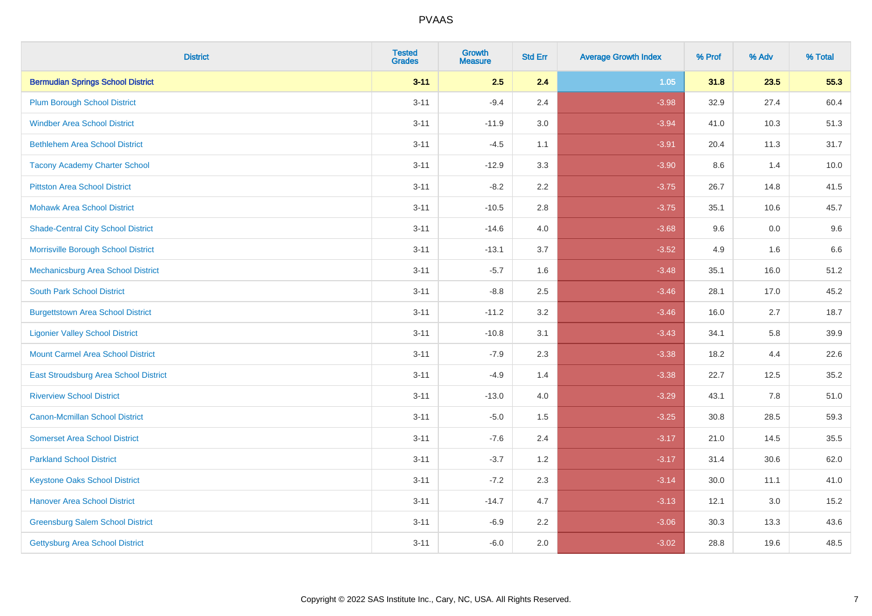| <b>District</b>                           | <b>Tested</b><br><b>Grades</b> | <b>Growth</b><br><b>Measure</b> | <b>Std Err</b> | <b>Average Growth Index</b> | % Prof | % Adv   | % Total |
|-------------------------------------------|--------------------------------|---------------------------------|----------------|-----------------------------|--------|---------|---------|
| <b>Bermudian Springs School District</b>  | $3 - 11$                       | 2.5                             | 2.4            | $1.05$                      | 31.8   | 23.5    | 55.3    |
| <b>Plum Borough School District</b>       | $3 - 11$                       | $-9.4$                          | 2.4            | $-3.98$                     | 32.9   | 27.4    | 60.4    |
| <b>Windber Area School District</b>       | $3 - 11$                       | $-11.9$                         | 3.0            | $-3.94$                     | 41.0   | 10.3    | 51.3    |
| <b>Bethlehem Area School District</b>     | $3 - 11$                       | $-4.5$                          | 1.1            | $-3.91$                     | 20.4   | 11.3    | 31.7    |
| <b>Tacony Academy Charter School</b>      | $3 - 11$                       | $-12.9$                         | 3.3            | $-3.90$                     | 8.6    | 1.4     | 10.0    |
| <b>Pittston Area School District</b>      | $3 - 11$                       | $-8.2$                          | 2.2            | $-3.75$                     | 26.7   | 14.8    | 41.5    |
| <b>Mohawk Area School District</b>        | $3 - 11$                       | $-10.5$                         | 2.8            | $-3.75$                     | 35.1   | 10.6    | 45.7    |
| <b>Shade-Central City School District</b> | $3 - 11$                       | $-14.6$                         | 4.0            | $-3.68$                     | 9.6    | 0.0     | 9.6     |
| Morrisville Borough School District       | $3 - 11$                       | $-13.1$                         | 3.7            | $-3.52$                     | 4.9    | 1.6     | 6.6     |
| Mechanicsburg Area School District        | $3 - 11$                       | $-5.7$                          | 1.6            | $-3.48$                     | 35.1   | 16.0    | 51.2    |
| <b>South Park School District</b>         | $3 - 11$                       | $-8.8$                          | 2.5            | $-3.46$                     | 28.1   | 17.0    | 45.2    |
| <b>Burgettstown Area School District</b>  | $3 - 11$                       | $-11.2$                         | 3.2            | $-3.46$                     | 16.0   | 2.7     | 18.7    |
| <b>Ligonier Valley School District</b>    | $3 - 11$                       | $-10.8$                         | 3.1            | $-3.43$                     | 34.1   | 5.8     | 39.9    |
| <b>Mount Carmel Area School District</b>  | $3 - 11$                       | $-7.9$                          | 2.3            | $-3.38$                     | 18.2   | 4.4     | 22.6    |
| East Stroudsburg Area School District     | $3 - 11$                       | $-4.9$                          | 1.4            | $-3.38$                     | 22.7   | 12.5    | 35.2    |
| <b>Riverview School District</b>          | $3 - 11$                       | $-13.0$                         | 4.0            | $-3.29$                     | 43.1   | $7.8\,$ | 51.0    |
| <b>Canon-Mcmillan School District</b>     | $3 - 11$                       | $-5.0$                          | 1.5            | $-3.25$                     | 30.8   | 28.5    | 59.3    |
| <b>Somerset Area School District</b>      | $3 - 11$                       | $-7.6$                          | 2.4            | $-3.17$                     | 21.0   | 14.5    | 35.5    |
| <b>Parkland School District</b>           | $3 - 11$                       | $-3.7$                          | 1.2            | $-3.17$                     | 31.4   | 30.6    | 62.0    |
| <b>Keystone Oaks School District</b>      | $3 - 11$                       | $-7.2$                          | 2.3            | $-3.14$                     | 30.0   | 11.1    | 41.0    |
| <b>Hanover Area School District</b>       | $3 - 11$                       | $-14.7$                         | 4.7            | $-3.13$                     | 12.1   | 3.0     | 15.2    |
| <b>Greensburg Salem School District</b>   | $3 - 11$                       | $-6.9$                          | 2.2            | $-3.06$                     | 30.3   | 13.3    | 43.6    |
| <b>Gettysburg Area School District</b>    | $3 - 11$                       | $-6.0$                          | 2.0            | $-3.02$                     | 28.8   | 19.6    | 48.5    |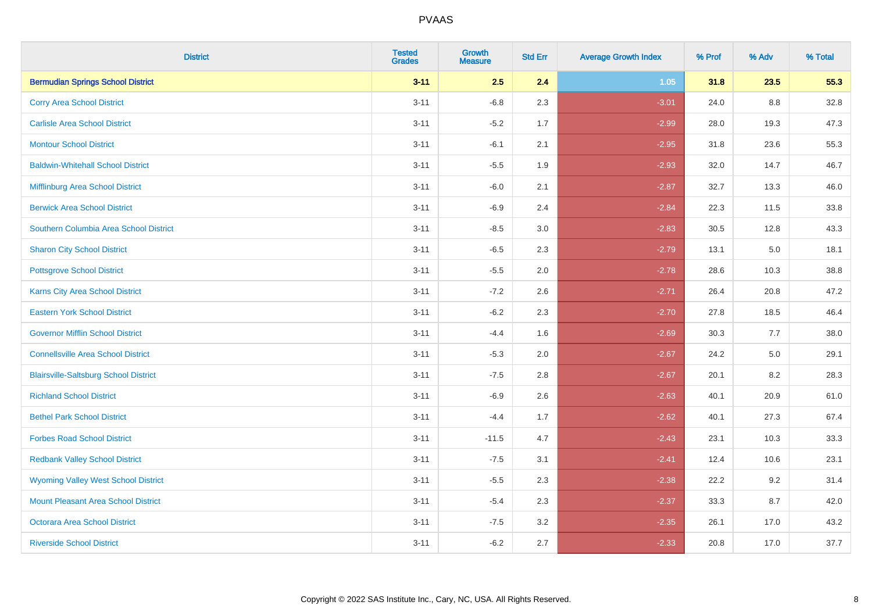| <b>District</b>                              | <b>Tested</b><br><b>Grades</b> | <b>Growth</b><br><b>Measure</b> | <b>Std Err</b> | <b>Average Growth Index</b> | % Prof | % Adv | % Total |
|----------------------------------------------|--------------------------------|---------------------------------|----------------|-----------------------------|--------|-------|---------|
| <b>Bermudian Springs School District</b>     | $3 - 11$                       | 2.5                             | 2.4            | $1.05$                      | 31.8   | 23.5  | 55.3    |
| <b>Corry Area School District</b>            | $3 - 11$                       | $-6.8$                          | 2.3            | $-3.01$                     | 24.0   | 8.8   | 32.8    |
| <b>Carlisle Area School District</b>         | $3 - 11$                       | $-5.2$                          | 1.7            | $-2.99$                     | 28.0   | 19.3  | 47.3    |
| <b>Montour School District</b>               | $3 - 11$                       | $-6.1$                          | 2.1            | $-2.95$                     | 31.8   | 23.6  | 55.3    |
| <b>Baldwin-Whitehall School District</b>     | $3 - 11$                       | $-5.5$                          | 1.9            | $-2.93$                     | 32.0   | 14.7  | 46.7    |
| Mifflinburg Area School District             | $3 - 11$                       | $-6.0$                          | 2.1            | $-2.87$                     | 32.7   | 13.3  | 46.0    |
| <b>Berwick Area School District</b>          | $3 - 11$                       | $-6.9$                          | 2.4            | $-2.84$                     | 22.3   | 11.5  | 33.8    |
| Southern Columbia Area School District       | $3 - 11$                       | $-8.5$                          | 3.0            | $-2.83$                     | 30.5   | 12.8  | 43.3    |
| <b>Sharon City School District</b>           | $3 - 11$                       | $-6.5$                          | 2.3            | $-2.79$                     | 13.1   | 5.0   | 18.1    |
| <b>Pottsgrove School District</b>            | $3 - 11$                       | $-5.5$                          | 2.0            | $-2.78$                     | 28.6   | 10.3  | 38.8    |
| Karns City Area School District              | $3 - 11$                       | $-7.2$                          | 2.6            | $-2.71$                     | 26.4   | 20.8  | 47.2    |
| <b>Eastern York School District</b>          | $3 - 11$                       | $-6.2$                          | 2.3            | $-2.70$                     | 27.8   | 18.5  | 46.4    |
| <b>Governor Mifflin School District</b>      | $3 - 11$                       | $-4.4$                          | 1.6            | $-2.69$                     | 30.3   | 7.7   | 38.0    |
| <b>Connellsville Area School District</b>    | $3 - 11$                       | $-5.3$                          | 2.0            | $-2.67$                     | 24.2   | 5.0   | 29.1    |
| <b>Blairsville-Saltsburg School District</b> | $3 - 11$                       | $-7.5$                          | 2.8            | $-2.67$                     | 20.1   | 8.2   | 28.3    |
| <b>Richland School District</b>              | $3 - 11$                       | $-6.9$                          | 2.6            | $-2.63$                     | 40.1   | 20.9  | 61.0    |
| <b>Bethel Park School District</b>           | $3 - 11$                       | $-4.4$                          | 1.7            | $-2.62$                     | 40.1   | 27.3  | 67.4    |
| <b>Forbes Road School District</b>           | $3 - 11$                       | $-11.5$                         | 4.7            | $-2.43$                     | 23.1   | 10.3  | 33.3    |
| <b>Redbank Valley School District</b>        | $3 - 11$                       | $-7.5$                          | 3.1            | $-2.41$                     | 12.4   | 10.6  | 23.1    |
| <b>Wyoming Valley West School District</b>   | $3 - 11$                       | $-5.5$                          | 2.3            | $-2.38$                     | 22.2   | 9.2   | 31.4    |
| Mount Pleasant Area School District          | $3 - 11$                       | $-5.4$                          | 2.3            | $-2.37$                     | 33.3   | 8.7   | 42.0    |
| <b>Octorara Area School District</b>         | $3 - 11$                       | $-7.5$                          | 3.2            | $-2.35$                     | 26.1   | 17.0  | 43.2    |
| <b>Riverside School District</b>             | $3 - 11$                       | $-6.2$                          | 2.7            | $-2.33$                     | 20.8   | 17.0  | 37.7    |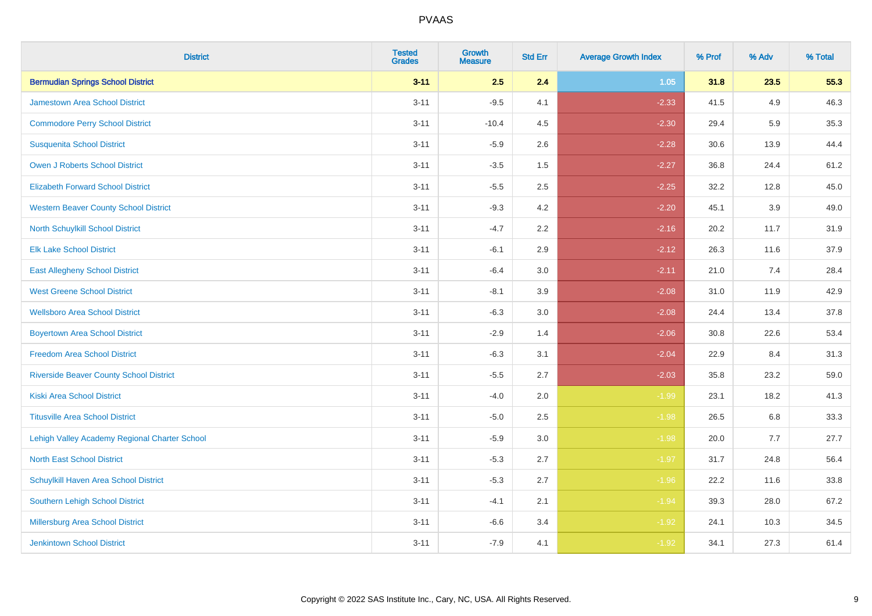| <b>District</b>                                | <b>Tested</b><br><b>Grades</b> | <b>Growth</b><br><b>Measure</b> | <b>Std Err</b> | <b>Average Growth Index</b> | % Prof | % Adv | % Total |
|------------------------------------------------|--------------------------------|---------------------------------|----------------|-----------------------------|--------|-------|---------|
| <b>Bermudian Springs School District</b>       | $3 - 11$                       | 2.5                             | 2.4            | $1.05$                      | 31.8   | 23.5  | 55.3    |
| <b>Jamestown Area School District</b>          | $3 - 11$                       | $-9.5$                          | 4.1            | $-2.33$                     | 41.5   | 4.9   | 46.3    |
| <b>Commodore Perry School District</b>         | $3 - 11$                       | $-10.4$                         | 4.5            | $-2.30$                     | 29.4   | 5.9   | 35.3    |
| <b>Susquenita School District</b>              | $3 - 11$                       | $-5.9$                          | 2.6            | $-2.28$                     | 30.6   | 13.9  | 44.4    |
| <b>Owen J Roberts School District</b>          | $3 - 11$                       | $-3.5$                          | 1.5            | $-2.27$                     | 36.8   | 24.4  | 61.2    |
| <b>Elizabeth Forward School District</b>       | $3 - 11$                       | $-5.5$                          | 2.5            | $-2.25$                     | 32.2   | 12.8  | 45.0    |
| <b>Western Beaver County School District</b>   | $3 - 11$                       | $-9.3$                          | 4.2            | $-2.20$                     | 45.1   | 3.9   | 49.0    |
| North Schuylkill School District               | $3 - 11$                       | $-4.7$                          | 2.2            | $-2.16$                     | 20.2   | 11.7  | 31.9    |
| <b>Elk Lake School District</b>                | $3 - 11$                       | $-6.1$                          | 2.9            | $-2.12$                     | 26.3   | 11.6  | 37.9    |
| <b>East Allegheny School District</b>          | $3 - 11$                       | $-6.4$                          | 3.0            | $-2.11$                     | 21.0   | 7.4   | 28.4    |
| <b>West Greene School District</b>             | $3 - 11$                       | $-8.1$                          | 3.9            | $-2.08$                     | 31.0   | 11.9  | 42.9    |
| <b>Wellsboro Area School District</b>          | $3 - 11$                       | $-6.3$                          | 3.0            | $-2.08$                     | 24.4   | 13.4  | 37.8    |
| <b>Boyertown Area School District</b>          | $3 - 11$                       | $-2.9$                          | 1.4            | $-2.06$                     | 30.8   | 22.6  | 53.4    |
| <b>Freedom Area School District</b>            | $3 - 11$                       | $-6.3$                          | 3.1            | $-2.04$                     | 22.9   | 8.4   | 31.3    |
| <b>Riverside Beaver County School District</b> | $3 - 11$                       | $-5.5$                          | 2.7            | $-2.03$                     | 35.8   | 23.2  | 59.0    |
| <b>Kiski Area School District</b>              | $3 - 11$                       | $-4.0$                          | 2.0            | $-1.99$                     | 23.1   | 18.2  | 41.3    |
| <b>Titusville Area School District</b>         | $3 - 11$                       | $-5.0$                          | 2.5            | $-1.98$                     | 26.5   | 6.8   | 33.3    |
| Lehigh Valley Academy Regional Charter School  | $3 - 11$                       | $-5.9$                          | 3.0            | $-1.98$                     | 20.0   | 7.7   | 27.7    |
| <b>North East School District</b>              | $3 - 11$                       | $-5.3$                          | 2.7            | $-1.97$                     | 31.7   | 24.8  | 56.4    |
| Schuylkill Haven Area School District          | $3 - 11$                       | $-5.3$                          | 2.7            | $-1.96$                     | 22.2   | 11.6  | 33.8    |
| Southern Lehigh School District                | $3 - 11$                       | $-4.1$                          | 2.1            | $-1.94$                     | 39.3   | 28.0  | 67.2    |
| Millersburg Area School District               | $3 - 11$                       | $-6.6$                          | 3.4            | $-1.92$                     | 24.1   | 10.3  | 34.5    |
| <b>Jenkintown School District</b>              | $3 - 11$                       | $-7.9$                          | 4.1            | $-1.92$                     | 34.1   | 27.3  | 61.4    |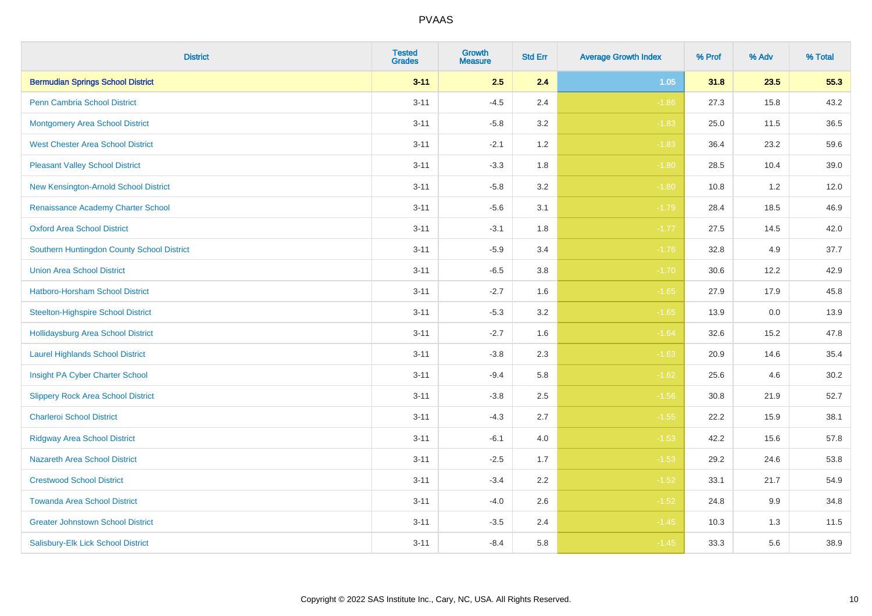| <b>District</b>                            | <b>Tested</b><br><b>Grades</b> | <b>Growth</b><br><b>Measure</b> | <b>Std Err</b> | <b>Average Growth Index</b> | % Prof | % Adv | % Total |
|--------------------------------------------|--------------------------------|---------------------------------|----------------|-----------------------------|--------|-------|---------|
| <b>Bermudian Springs School District</b>   | $3 - 11$                       | 2.5                             | 2.4            | 1.05                        | 31.8   | 23.5  | 55.3    |
| <b>Penn Cambria School District</b>        | $3 - 11$                       | $-4.5$                          | 2.4            | $-1.86$                     | 27.3   | 15.8  | 43.2    |
| <b>Montgomery Area School District</b>     | $3 - 11$                       | $-5.8$                          | 3.2            | $-1.83$                     | 25.0   | 11.5  | 36.5    |
| <b>West Chester Area School District</b>   | $3 - 11$                       | $-2.1$                          | 1.2            | $-1.83$                     | 36.4   | 23.2  | 59.6    |
| <b>Pleasant Valley School District</b>     | $3 - 11$                       | $-3.3$                          | 1.8            | $-1.80$                     | 28.5   | 10.4  | 39.0    |
| New Kensington-Arnold School District      | $3 - 11$                       | $-5.8$                          | 3.2            | $-1.80$                     | 10.8   | 1.2   | 12.0    |
| Renaissance Academy Charter School         | $3 - 11$                       | $-5.6$                          | 3.1            | $-1.79$                     | 28.4   | 18.5  | 46.9    |
| <b>Oxford Area School District</b>         | $3 - 11$                       | $-3.1$                          | 1.8            | $-1.77$                     | 27.5   | 14.5  | 42.0    |
| Southern Huntingdon County School District | $3 - 11$                       | $-5.9$                          | 3.4            | $-1.76$                     | 32.8   | 4.9   | 37.7    |
| <b>Union Area School District</b>          | $3 - 11$                       | $-6.5$                          | 3.8            | $-1.70$                     | 30.6   | 12.2  | 42.9    |
| Hatboro-Horsham School District            | $3 - 11$                       | $-2.7$                          | 1.6            | $-1.65$                     | 27.9   | 17.9  | 45.8    |
| <b>Steelton-Highspire School District</b>  | $3 - 11$                       | $-5.3$                          | 3.2            | $-1.65$                     | 13.9   | 0.0   | 13.9    |
| <b>Hollidaysburg Area School District</b>  | $3 - 11$                       | $-2.7$                          | 1.6            | $-1.64$                     | 32.6   | 15.2  | 47.8    |
| <b>Laurel Highlands School District</b>    | $3 - 11$                       | $-3.8$                          | 2.3            | $-1.63$                     | 20.9   | 14.6  | 35.4    |
| Insight PA Cyber Charter School            | $3 - 11$                       | $-9.4$                          | 5.8            | $-1.62$                     | 25.6   | 4.6   | 30.2    |
| <b>Slippery Rock Area School District</b>  | $3 - 11$                       | $-3.8$                          | 2.5            | $-1.56$                     | 30.8   | 21.9  | 52.7    |
| <b>Charleroi School District</b>           | $3 - 11$                       | $-4.3$                          | 2.7            | $-1.55$                     | 22.2   | 15.9  | 38.1    |
| <b>Ridgway Area School District</b>        | $3 - 11$                       | $-6.1$                          | 4.0            | $-1.53$                     | 42.2   | 15.6  | 57.8    |
| <b>Nazareth Area School District</b>       | $3 - 11$                       | $-2.5$                          | 1.7            | $-1.53$                     | 29.2   | 24.6  | 53.8    |
| <b>Crestwood School District</b>           | $3 - 11$                       | $-3.4$                          | 2.2            | $-1.52$                     | 33.1   | 21.7  | 54.9    |
| <b>Towanda Area School District</b>        | $3 - 11$                       | $-4.0$                          | 2.6            | $-1.52$                     | 24.8   | 9.9   | 34.8    |
| <b>Greater Johnstown School District</b>   | $3 - 11$                       | $-3.5$                          | 2.4            | $-1.45$                     | 10.3   | 1.3   | 11.5    |
| Salisbury-Elk Lick School District         | $3 - 11$                       | $-8.4$                          | 5.8            | $-1.45$                     | 33.3   | 5.6   | 38.9    |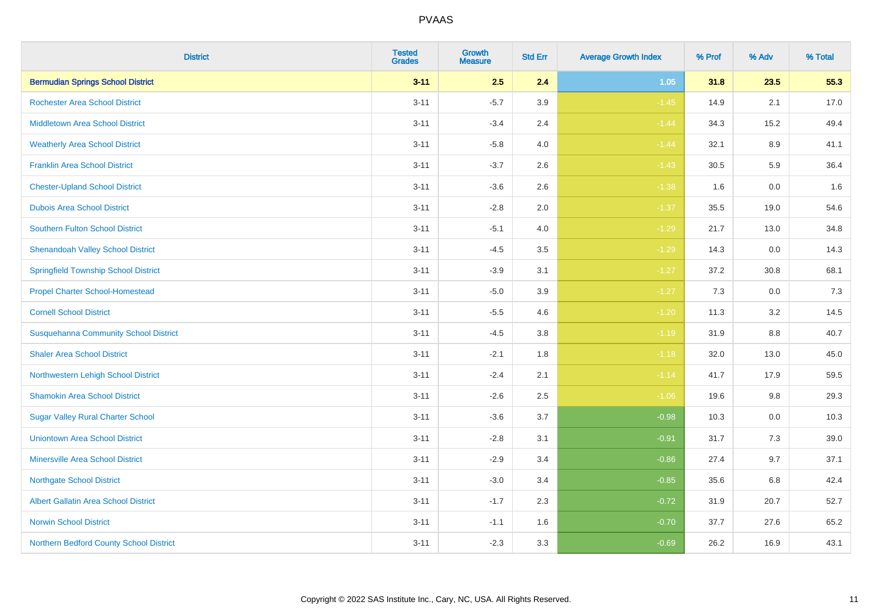| <b>District</b>                              | <b>Tested</b><br><b>Grades</b> | <b>Growth</b><br><b>Measure</b> | <b>Std Err</b> | <b>Average Growth Index</b> | % Prof | % Adv   | % Total |
|----------------------------------------------|--------------------------------|---------------------------------|----------------|-----------------------------|--------|---------|---------|
| <b>Bermudian Springs School District</b>     | $3 - 11$                       | 2.5                             | 2.4            | 1.05                        | 31.8   | 23.5    | 55.3    |
| <b>Rochester Area School District</b>        | $3 - 11$                       | $-5.7$                          | 3.9            | $-1.45$                     | 14.9   | 2.1     | 17.0    |
| <b>Middletown Area School District</b>       | $3 - 11$                       | $-3.4$                          | 2.4            | $-1.44$                     | 34.3   | 15.2    | 49.4    |
| <b>Weatherly Area School District</b>        | $3 - 11$                       | $-5.8$                          | 4.0            | $-1.44$                     | 32.1   | 8.9     | 41.1    |
| <b>Franklin Area School District</b>         | $3 - 11$                       | $-3.7$                          | 2.6            | $-1.43$                     | 30.5   | 5.9     | 36.4    |
| <b>Chester-Upland School District</b>        | $3 - 11$                       | $-3.6$                          | 2.6            | $-1.38$                     | 1.6    | 0.0     | 1.6     |
| <b>Dubois Area School District</b>           | $3 - 11$                       | $-2.8$                          | 2.0            | $-1.37$                     | 35.5   | 19.0    | 54.6    |
| <b>Southern Fulton School District</b>       | $3 - 11$                       | $-5.1$                          | 4.0            | $-1.29$                     | 21.7   | 13.0    | 34.8    |
| <b>Shenandoah Valley School District</b>     | $3 - 11$                       | $-4.5$                          | 3.5            | $-1.29$                     | 14.3   | 0.0     | 14.3    |
| <b>Springfield Township School District</b>  | $3 - 11$                       | $-3.9$                          | 3.1            | $-1.27$                     | 37.2   | 30.8    | 68.1    |
| <b>Propel Charter School-Homestead</b>       | $3 - 11$                       | $-5.0$                          | 3.9            | $-1.27$                     | 7.3    | 0.0     | 7.3     |
| <b>Cornell School District</b>               | $3 - 11$                       | $-5.5$                          | 4.6            | $-1.20$                     | 11.3   | 3.2     | 14.5    |
| <b>Susquehanna Community School District</b> | $3 - 11$                       | $-4.5$                          | 3.8            | $-1.19$                     | 31.9   | 8.8     | 40.7    |
| <b>Shaler Area School District</b>           | $3 - 11$                       | $-2.1$                          | 1.8            | $-1.18$                     | 32.0   | 13.0    | 45.0    |
| Northwestern Lehigh School District          | $3 - 11$                       | $-2.4$                          | 2.1            | $-1.14$                     | 41.7   | 17.9    | 59.5    |
| <b>Shamokin Area School District</b>         | $3 - 11$                       | $-2.6$                          | 2.5            | $-1.06$                     | 19.6   | $9.8\,$ | 29.3    |
| <b>Sugar Valley Rural Charter School</b>     | $3 - 11$                       | $-3.6$                          | 3.7            | $-0.98$                     | 10.3   | 0.0     | 10.3    |
| <b>Uniontown Area School District</b>        | $3 - 11$                       | $-2.8$                          | 3.1            | $-0.91$                     | 31.7   | 7.3     | 39.0    |
| <b>Minersville Area School District</b>      | $3 - 11$                       | $-2.9$                          | 3.4            | $-0.86$                     | 27.4   | 9.7     | 37.1    |
| <b>Northgate School District</b>             | $3 - 11$                       | $-3.0$                          | 3.4            | $-0.85$                     | 35.6   | 6.8     | 42.4    |
| Albert Gallatin Area School District         | $3 - 11$                       | $-1.7$                          | 2.3            | $-0.72$                     | 31.9   | 20.7    | 52.7    |
| <b>Norwin School District</b>                | $3 - 11$                       | $-1.1$                          | 1.6            | $-0.70$                     | 37.7   | 27.6    | 65.2    |
| Northern Bedford County School District      | $3 - 11$                       | $-2.3$                          | 3.3            | $-0.69$                     | 26.2   | 16.9    | 43.1    |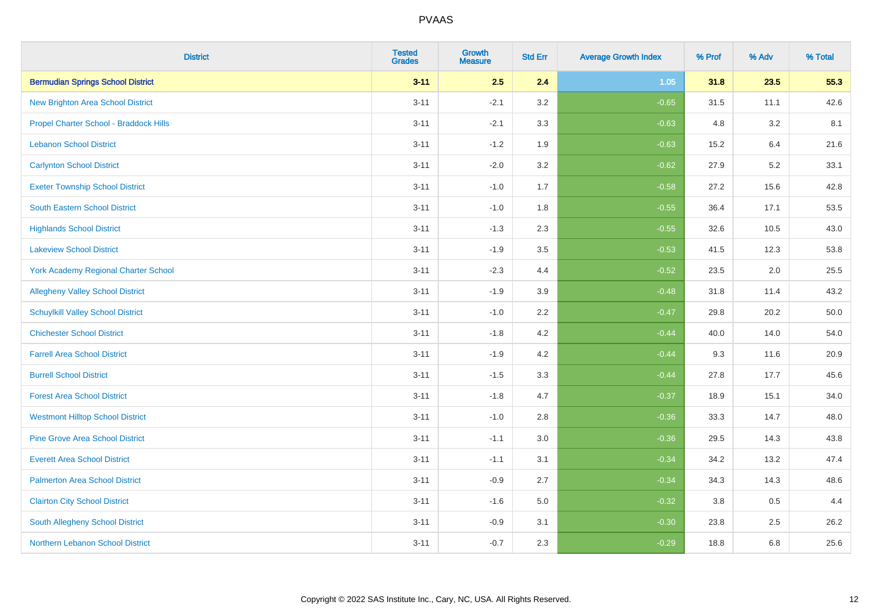| <b>District</b>                             | <b>Tested</b><br><b>Grades</b> | <b>Growth</b><br><b>Measure</b> | <b>Std Err</b> | <b>Average Growth Index</b> | % Prof | % Adv | % Total |
|---------------------------------------------|--------------------------------|---------------------------------|----------------|-----------------------------|--------|-------|---------|
| <b>Bermudian Springs School District</b>    | $3 - 11$                       | 2.5                             | 2.4            | $1.05$                      | 31.8   | 23.5  | 55.3    |
| <b>New Brighton Area School District</b>    | $3 - 11$                       | $-2.1$                          | 3.2            | $-0.65$                     | 31.5   | 11.1  | 42.6    |
| Propel Charter School - Braddock Hills      | $3 - 11$                       | $-2.1$                          | 3.3            | $-0.63$                     | 4.8    | 3.2   | 8.1     |
| <b>Lebanon School District</b>              | $3 - 11$                       | $-1.2$                          | 1.9            | $-0.63$                     | 15.2   | 6.4   | 21.6    |
| <b>Carlynton School District</b>            | $3 - 11$                       | $-2.0$                          | 3.2            | $-0.62$                     | 27.9   | 5.2   | 33.1    |
| <b>Exeter Township School District</b>      | $3 - 11$                       | $-1.0$                          | 1.7            | $-0.58$                     | 27.2   | 15.6  | 42.8    |
| <b>South Eastern School District</b>        | $3 - 11$                       | $-1.0$                          | 1.8            | $-0.55$                     | 36.4   | 17.1  | 53.5    |
| <b>Highlands School District</b>            | $3 - 11$                       | $-1.3$                          | 2.3            | $-0.55$                     | 32.6   | 10.5  | 43.0    |
| <b>Lakeview School District</b>             | $3 - 11$                       | $-1.9$                          | 3.5            | $-0.53$                     | 41.5   | 12.3  | 53.8    |
| <b>York Academy Regional Charter School</b> | $3 - 11$                       | $-2.3$                          | 4.4            | $-0.52$                     | 23.5   | 2.0   | 25.5    |
| <b>Allegheny Valley School District</b>     | $3 - 11$                       | $-1.9$                          | 3.9            | $-0.48$                     | 31.8   | 11.4  | 43.2    |
| <b>Schuylkill Valley School District</b>    | $3 - 11$                       | $-1.0$                          | 2.2            | $-0.47$                     | 29.8   | 20.2  | 50.0    |
| <b>Chichester School District</b>           | $3 - 11$                       | $-1.8$                          | 4.2            | $-0.44$                     | 40.0   | 14.0  | 54.0    |
| <b>Farrell Area School District</b>         | $3 - 11$                       | $-1.9$                          | 4.2            | $-0.44$                     | 9.3    | 11.6  | 20.9    |
| <b>Burrell School District</b>              | $3 - 11$                       | $-1.5$                          | 3.3            | $-0.44$                     | 27.8   | 17.7  | 45.6    |
| <b>Forest Area School District</b>          | $3 - 11$                       | $-1.8$                          | 4.7            | $-0.37$                     | 18.9   | 15.1  | 34.0    |
| <b>Westmont Hilltop School District</b>     | $3 - 11$                       | $-1.0$                          | 2.8            | $-0.36$                     | 33.3   | 14.7  | 48.0    |
| <b>Pine Grove Area School District</b>      | $3 - 11$                       | $-1.1$                          | 3.0            | $-0.36$                     | 29.5   | 14.3  | 43.8    |
| <b>Everett Area School District</b>         | $3 - 11$                       | $-1.1$                          | 3.1            | $-0.34$                     | 34.2   | 13.2  | 47.4    |
| <b>Palmerton Area School District</b>       | $3 - 11$                       | $-0.9$                          | 2.7            | $-0.34$                     | 34.3   | 14.3  | 48.6    |
| <b>Clairton City School District</b>        | $3 - 11$                       | $-1.6$                          | 5.0            | $-0.32$                     | 3.8    | 0.5   | 4.4     |
| South Allegheny School District             | $3 - 11$                       | $-0.9$                          | 3.1            | $-0.30$                     | 23.8   | 2.5   | 26.2    |
| Northern Lebanon School District            | $3 - 11$                       | $-0.7$                          | 2.3            | $-0.29$                     | 18.8   | 6.8   | 25.6    |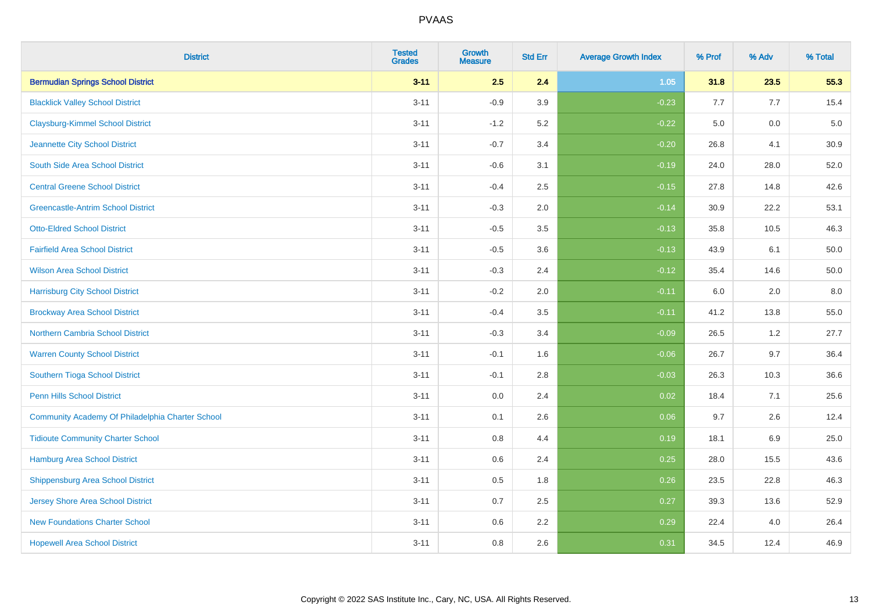| <b>District</b>                                  | <b>Tested</b><br><b>Grades</b> | <b>Growth</b><br><b>Measure</b> | <b>Std Err</b> | <b>Average Growth Index</b> | % Prof | % Adv | % Total |
|--------------------------------------------------|--------------------------------|---------------------------------|----------------|-----------------------------|--------|-------|---------|
| <b>Bermudian Springs School District</b>         | $3 - 11$                       | 2.5                             | 2.4            | $1.05$                      | 31.8   | 23.5  | 55.3    |
| <b>Blacklick Valley School District</b>          | $3 - 11$                       | $-0.9$                          | 3.9            | $-0.23$                     | 7.7    | 7.7   | 15.4    |
| <b>Claysburg-Kimmel School District</b>          | $3 - 11$                       | $-1.2$                          | 5.2            | $-0.22$                     | 5.0    | 0.0   | $5.0$   |
| Jeannette City School District                   | $3 - 11$                       | $-0.7$                          | 3.4            | $-0.20$                     | 26.8   | 4.1   | 30.9    |
| South Side Area School District                  | $3 - 11$                       | $-0.6$                          | 3.1            | $-0.19$                     | 24.0   | 28.0  | 52.0    |
| <b>Central Greene School District</b>            | $3 - 11$                       | $-0.4$                          | 2.5            | $-0.15$                     | 27.8   | 14.8  | 42.6    |
| <b>Greencastle-Antrim School District</b>        | $3 - 11$                       | $-0.3$                          | 2.0            | $-0.14$                     | 30.9   | 22.2  | 53.1    |
| <b>Otto-Eldred School District</b>               | $3 - 11$                       | $-0.5$                          | 3.5            | $-0.13$                     | 35.8   | 10.5  | 46.3    |
| <b>Fairfield Area School District</b>            | $3 - 11$                       | $-0.5$                          | 3.6            | $-0.13$                     | 43.9   | 6.1   | 50.0    |
| <b>Wilson Area School District</b>               | $3 - 11$                       | $-0.3$                          | 2.4            | $-0.12$                     | 35.4   | 14.6  | 50.0    |
| <b>Harrisburg City School District</b>           | $3 - 11$                       | $-0.2$                          | 2.0            | $-0.11$                     | 6.0    | 2.0   | 8.0     |
| <b>Brockway Area School District</b>             | $3 - 11$                       | $-0.4$                          | 3.5            | $-0.11$                     | 41.2   | 13.8  | 55.0    |
| Northern Cambria School District                 | $3 - 11$                       | $-0.3$                          | 3.4            | $-0.09$                     | 26.5   | 1.2   | 27.7    |
| <b>Warren County School District</b>             | $3 - 11$                       | $-0.1$                          | 1.6            | $-0.06$                     | 26.7   | 9.7   | 36.4    |
| Southern Tioga School District                   | $3 - 11$                       | $-0.1$                          | 2.8            | $-0.03$                     | 26.3   | 10.3  | 36.6    |
| Penn Hills School District                       | $3 - 11$                       | 0.0                             | 2.4            | 0.02                        | 18.4   | 7.1   | 25.6    |
| Community Academy Of Philadelphia Charter School | $3 - 11$                       | 0.1                             | 2.6            | 0.06                        | 9.7    | 2.6   | 12.4    |
| <b>Tidioute Community Charter School</b>         | $3 - 11$                       | 0.8                             | 4.4            | 0.19                        | 18.1   | 6.9   | 25.0    |
| Hamburg Area School District                     | $3 - 11$                       | $0.6\,$                         | 2.4            | 0.25                        | 28.0   | 15.5  | 43.6    |
| <b>Shippensburg Area School District</b>         | $3 - 11$                       | 0.5                             | 1.8            | 0.26                        | 23.5   | 22.8  | 46.3    |
| Jersey Shore Area School District                | $3 - 11$                       | 0.7                             | 2.5            | 0.27                        | 39.3   | 13.6  | 52.9    |
| <b>New Foundations Charter School</b>            | $3 - 11$                       | 0.6                             | 2.2            | 0.29                        | 22.4   | 4.0   | 26.4    |
| <b>Hopewell Area School District</b>             | $3 - 11$                       | 0.8                             | 2.6            | 0.31                        | 34.5   | 12.4  | 46.9    |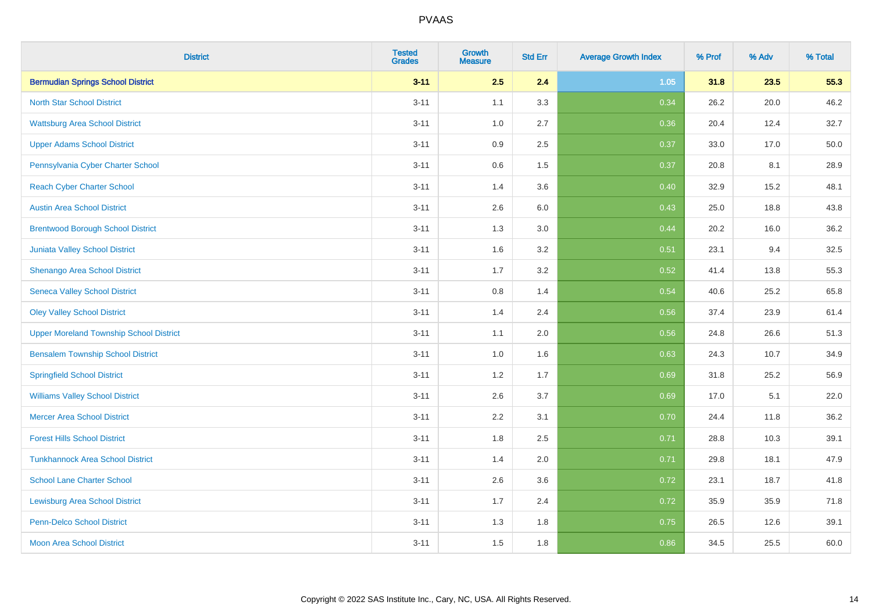| <b>District</b>                                | <b>Tested</b><br><b>Grades</b> | <b>Growth</b><br><b>Measure</b> | <b>Std Err</b> | <b>Average Growth Index</b> | % Prof | % Adv | % Total |
|------------------------------------------------|--------------------------------|---------------------------------|----------------|-----------------------------|--------|-------|---------|
| <b>Bermudian Springs School District</b>       | $3 - 11$                       | 2.5                             | 2.4            | $1.05$                      | 31.8   | 23.5  | 55.3    |
| <b>North Star School District</b>              | $3 - 11$                       | 1.1                             | 3.3            | 0.34                        | 26.2   | 20.0  | 46.2    |
| <b>Wattsburg Area School District</b>          | $3 - 11$                       | 1.0                             | 2.7            | 0.36                        | 20.4   | 12.4  | 32.7    |
| <b>Upper Adams School District</b>             | $3 - 11$                       | 0.9                             | 2.5            | 0.37                        | 33.0   | 17.0  | 50.0    |
| Pennsylvania Cyber Charter School              | $3 - 11$                       | 0.6                             | 1.5            | 0.37                        | 20.8   | 8.1   | 28.9    |
| <b>Reach Cyber Charter School</b>              | $3 - 11$                       | 1.4                             | 3.6            | 0.40                        | 32.9   | 15.2  | 48.1    |
| <b>Austin Area School District</b>             | $3 - 11$                       | 2.6                             | 6.0            | 0.43                        | 25.0   | 18.8  | 43.8    |
| <b>Brentwood Borough School District</b>       | $3 - 11$                       | 1.3                             | 3.0            | 0.44                        | 20.2   | 16.0  | 36.2    |
| <b>Juniata Valley School District</b>          | $3 - 11$                       | 1.6                             | 3.2            | 0.51                        | 23.1   | 9.4   | 32.5    |
| Shenango Area School District                  | $3 - 11$                       | 1.7                             | 3.2            | 0.52                        | 41.4   | 13.8  | 55.3    |
| <b>Seneca Valley School District</b>           | $3 - 11$                       | $0.8\,$                         | 1.4            | 0.54                        | 40.6   | 25.2  | 65.8    |
| <b>Oley Valley School District</b>             | $3 - 11$                       | 1.4                             | 2.4            | 0.56                        | 37.4   | 23.9  | 61.4    |
| <b>Upper Moreland Township School District</b> | $3 - 11$                       | 1.1                             | 2.0            | 0.56                        | 24.8   | 26.6  | 51.3    |
| <b>Bensalem Township School District</b>       | $3 - 11$                       | 1.0                             | 1.6            | 0.63                        | 24.3   | 10.7  | 34.9    |
| <b>Springfield School District</b>             | $3 - 11$                       | 1.2                             | 1.7            | 0.69                        | 31.8   | 25.2  | 56.9    |
| <b>Williams Valley School District</b>         | $3 - 11$                       | 2.6                             | 3.7            | 0.69                        | 17.0   | 5.1   | 22.0    |
| <b>Mercer Area School District</b>             | $3 - 11$                       | 2.2                             | 3.1            | 0.70                        | 24.4   | 11.8  | 36.2    |
| <b>Forest Hills School District</b>            | $3 - 11$                       | 1.8                             | 2.5            | 0.71                        | 28.8   | 10.3  | 39.1    |
| <b>Tunkhannock Area School District</b>        | $3 - 11$                       | 1.4                             | 2.0            | 0.71                        | 29.8   | 18.1  | 47.9    |
| <b>School Lane Charter School</b>              | $3 - 11$                       | 2.6                             | 3.6            | 0.72                        | 23.1   | 18.7  | 41.8    |
| <b>Lewisburg Area School District</b>          | $3 - 11$                       | 1.7                             | 2.4            | 0.72                        | 35.9   | 35.9  | 71.8    |
| <b>Penn-Delco School District</b>              | $3 - 11$                       | 1.3                             | 1.8            | 0.75                        | 26.5   | 12.6  | 39.1    |
| <b>Moon Area School District</b>               | $3 - 11$                       | 1.5                             | 1.8            | 0.86                        | 34.5   | 25.5  | 60.0    |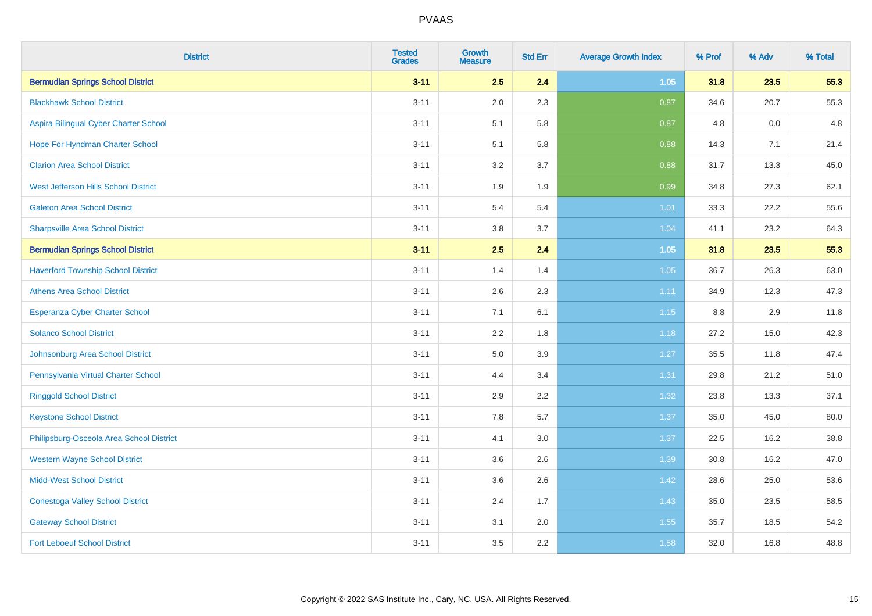| <b>District</b>                           | <b>Tested</b><br><b>Grades</b> | <b>Growth</b><br><b>Measure</b> | <b>Std Err</b> | <b>Average Growth Index</b> | % Prof | % Adv | % Total |
|-------------------------------------------|--------------------------------|---------------------------------|----------------|-----------------------------|--------|-------|---------|
| <b>Bermudian Springs School District</b>  | $3 - 11$                       | 2.5                             | 2.4            | $1.05$                      | 31.8   | 23.5  | 55.3    |
| <b>Blackhawk School District</b>          | $3 - 11$                       | 2.0                             | 2.3            | 0.87                        | 34.6   | 20.7  | 55.3    |
| Aspira Bilingual Cyber Charter School     | $3 - 11$                       | 5.1                             | 5.8            | 0.87                        | 4.8    | 0.0   | 4.8     |
| Hope For Hyndman Charter School           | $3 - 11$                       | 5.1                             | 5.8            | 0.88                        | 14.3   | 7.1   | 21.4    |
| <b>Clarion Area School District</b>       | $3 - 11$                       | 3.2                             | 3.7            | 0.88                        | 31.7   | 13.3  | 45.0    |
| West Jefferson Hills School District      | $3 - 11$                       | 1.9                             | 1.9            | 0.99                        | 34.8   | 27.3  | 62.1    |
| <b>Galeton Area School District</b>       | $3 - 11$                       | 5.4                             | 5.4            | 1.01                        | 33.3   | 22.2  | 55.6    |
| <b>Sharpsville Area School District</b>   | $3 - 11$                       | 3.8                             | 3.7            | 1.04                        | 41.1   | 23.2  | 64.3    |
| <b>Bermudian Springs School District</b>  | $3 - 11$                       | 2.5                             | 2.4            | 1.05                        | 31.8   | 23.5  | 55.3    |
| <b>Haverford Township School District</b> | $3 - 11$                       | 1.4                             | 1.4            | 1.05                        | 36.7   | 26.3  | 63.0    |
| <b>Athens Area School District</b>        | $3 - 11$                       | 2.6                             | 2.3            | 1.11                        | 34.9   | 12.3  | 47.3    |
| <b>Esperanza Cyber Charter School</b>     | $3 - 11$                       | 7.1                             | 6.1            | $1.15$                      | 8.8    | 2.9   | 11.8    |
| <b>Solanco School District</b>            | $3 - 11$                       | 2.2                             | 1.8            | 1.18                        | 27.2   | 15.0  | 42.3    |
| Johnsonburg Area School District          | $3 - 11$                       | $5.0\,$                         | 3.9            | 1.27                        | 35.5   | 11.8  | 47.4    |
| Pennsylvania Virtual Charter School       | $3 - 11$                       | 4.4                             | 3.4            | 1.31                        | 29.8   | 21.2  | 51.0    |
| <b>Ringgold School District</b>           | $3 - 11$                       | 2.9                             | 2.2            | 1.32                        | 23.8   | 13.3  | 37.1    |
| <b>Keystone School District</b>           | $3 - 11$                       | 7.8                             | 5.7            | 1.37                        | 35.0   | 45.0  | 80.0    |
| Philipsburg-Osceola Area School District  | $3 - 11$                       | 4.1                             | 3.0            | 1.37                        | 22.5   | 16.2  | 38.8    |
| <b>Western Wayne School District</b>      | $3 - 11$                       | 3.6                             | 2.6            | 1.39                        | 30.8   | 16.2  | 47.0    |
| <b>Midd-West School District</b>          | $3 - 11$                       | 3.6                             | 2.6            | 1.42                        | 28.6   | 25.0  | 53.6    |
| <b>Conestoga Valley School District</b>   | $3 - 11$                       | 2.4                             | 1.7            | 1.43                        | 35.0   | 23.5  | 58.5    |
| <b>Gateway School District</b>            | $3 - 11$                       | 3.1                             | 2.0            | 1.55                        | 35.7   | 18.5  | 54.2    |
| <b>Fort Leboeuf School District</b>       | $3 - 11$                       | 3.5                             | 2.2            | 1.58                        | 32.0   | 16.8  | 48.8    |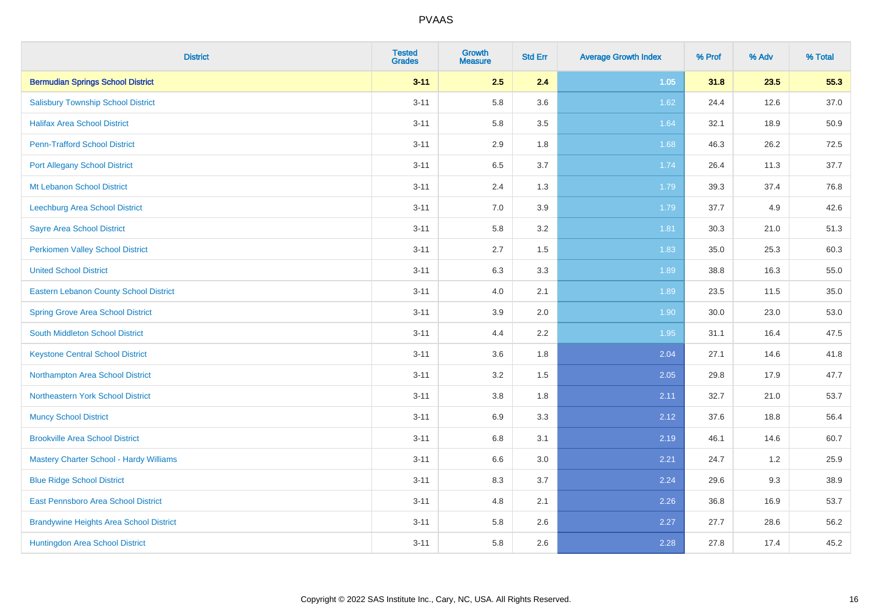| <b>District</b>                                | <b>Tested</b><br><b>Grades</b> | <b>Growth</b><br><b>Measure</b> | <b>Std Err</b> | <b>Average Growth Index</b> | % Prof | % Adv | % Total |
|------------------------------------------------|--------------------------------|---------------------------------|----------------|-----------------------------|--------|-------|---------|
| <b>Bermudian Springs School District</b>       | $3 - 11$                       | 2.5                             | 2.4            | $1.05$                      | 31.8   | 23.5  | 55.3    |
| <b>Salisbury Township School District</b>      | $3 - 11$                       | 5.8                             | 3.6            | 1.62                        | 24.4   | 12.6  | 37.0    |
| <b>Halifax Area School District</b>            | $3 - 11$                       | 5.8                             | 3.5            | 1.64                        | 32.1   | 18.9  | 50.9    |
| <b>Penn-Trafford School District</b>           | $3 - 11$                       | 2.9                             | 1.8            | 1.68                        | 46.3   | 26.2  | 72.5    |
| <b>Port Allegany School District</b>           | $3 - 11$                       | 6.5                             | 3.7            | 1.74                        | 26.4   | 11.3  | 37.7    |
| <b>Mt Lebanon School District</b>              | $3 - 11$                       | 2.4                             | 1.3            | 1.79                        | 39.3   | 37.4  | 76.8    |
| Leechburg Area School District                 | $3 - 11$                       | 7.0                             | 3.9            | 1.79                        | 37.7   | 4.9   | 42.6    |
| <b>Sayre Area School District</b>              | $3 - 11$                       | 5.8                             | 3.2            | 1.81                        | 30.3   | 21.0  | 51.3    |
| Perkiomen Valley School District               | $3 - 11$                       | 2.7                             | 1.5            | 1.83                        | 35.0   | 25.3  | 60.3    |
| <b>United School District</b>                  | $3 - 11$                       | 6.3                             | 3.3            | 1.89                        | 38.8   | 16.3  | 55.0    |
| Eastern Lebanon County School District         | $3 - 11$                       | 4.0                             | 2.1            | 1.89                        | 23.5   | 11.5  | 35.0    |
| <b>Spring Grove Area School District</b>       | $3 - 11$                       | 3.9                             | 2.0            | 1.90                        | 30.0   | 23.0  | 53.0    |
| South Middleton School District                | $3 - 11$                       | 4.4                             | 2.2            | 1.95                        | 31.1   | 16.4  | 47.5    |
| <b>Keystone Central School District</b>        | $3 - 11$                       | 3.6                             | 1.8            | 2.04                        | 27.1   | 14.6  | 41.8    |
| Northampton Area School District               | $3 - 11$                       | 3.2                             | 1.5            | 2.05                        | 29.8   | 17.9  | 47.7    |
| Northeastern York School District              | $3 - 11$                       | $3.8\,$                         | 1.8            | 2.11                        | 32.7   | 21.0  | 53.7    |
| <b>Muncy School District</b>                   | $3 - 11$                       | 6.9                             | 3.3            | 2.12                        | 37.6   | 18.8  | 56.4    |
| <b>Brookville Area School District</b>         | $3 - 11$                       | 6.8                             | 3.1            | 2.19                        | 46.1   | 14.6  | 60.7    |
| <b>Mastery Charter School - Hardy Williams</b> | $3 - 11$                       | $6.6\,$                         | 3.0            | 2.21                        | 24.7   | 1.2   | 25.9    |
| <b>Blue Ridge School District</b>              | $3 - 11$                       | 8.3                             | 3.7            | 2.24                        | 29.6   | 9.3   | 38.9    |
| East Pennsboro Area School District            | $3 - 11$                       | 4.8                             | 2.1            | 2.26                        | 36.8   | 16.9  | 53.7    |
| <b>Brandywine Heights Area School District</b> | $3 - 11$                       | 5.8                             | 2.6            | 2.27                        | 27.7   | 28.6  | 56.2    |
| Huntingdon Area School District                | $3 - 11$                       | 5.8                             | 2.6            | 2.28                        | 27.8   | 17.4  | 45.2    |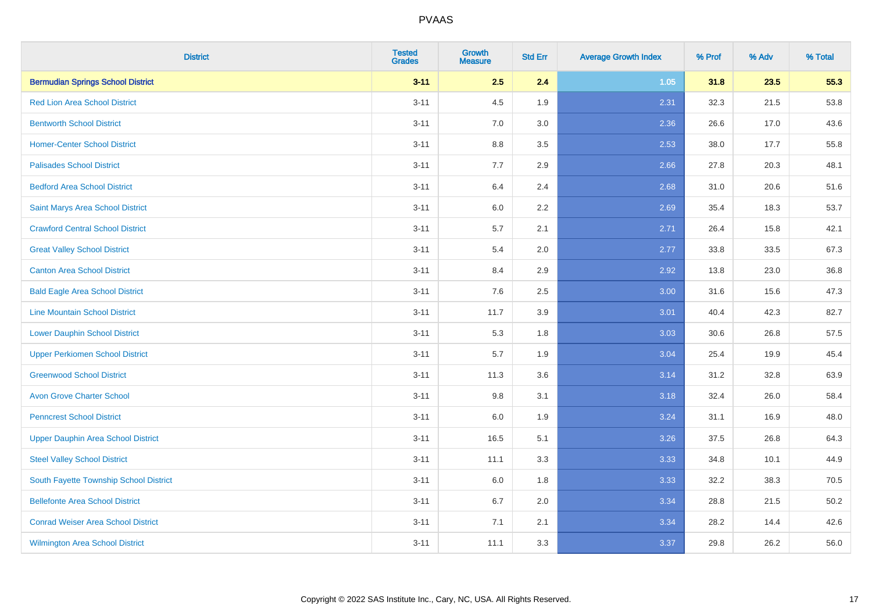| <b>District</b>                           | <b>Tested</b><br><b>Grades</b> | <b>Growth</b><br><b>Measure</b> | <b>Std Err</b> | <b>Average Growth Index</b> | % Prof | % Adv | % Total |
|-------------------------------------------|--------------------------------|---------------------------------|----------------|-----------------------------|--------|-------|---------|
| <b>Bermudian Springs School District</b>  | $3 - 11$                       | 2.5                             | 2.4            | 1.05                        | 31.8   | 23.5  | 55.3    |
| <b>Red Lion Area School District</b>      | $3 - 11$                       | 4.5                             | 1.9            | 2.31                        | 32.3   | 21.5  | 53.8    |
| <b>Bentworth School District</b>          | $3 - 11$                       | 7.0                             | 3.0            | 2.36                        | 26.6   | 17.0  | 43.6    |
| <b>Homer-Center School District</b>       | $3 - 11$                       | 8.8                             | 3.5            | 2.53                        | 38.0   | 17.7  | 55.8    |
| <b>Palisades School District</b>          | $3 - 11$                       | 7.7                             | 2.9            | 2.66                        | 27.8   | 20.3  | 48.1    |
| <b>Bedford Area School District</b>       | $3 - 11$                       | 6.4                             | 2.4            | 2.68                        | 31.0   | 20.6  | 51.6    |
| Saint Marys Area School District          | $3 - 11$                       | 6.0                             | 2.2            | 2.69                        | 35.4   | 18.3  | 53.7    |
| <b>Crawford Central School District</b>   | $3 - 11$                       | 5.7                             | 2.1            | 2.71                        | 26.4   | 15.8  | 42.1    |
| <b>Great Valley School District</b>       | $3 - 11$                       | 5.4                             | 2.0            | 2.77                        | 33.8   | 33.5  | 67.3    |
| <b>Canton Area School District</b>        | $3 - 11$                       | 8.4                             | 2.9            | 2.92                        | 13.8   | 23.0  | 36.8    |
| <b>Bald Eagle Area School District</b>    | $3 - 11$                       | 7.6                             | 2.5            | 3.00                        | 31.6   | 15.6  | 47.3    |
| <b>Line Mountain School District</b>      | $3 - 11$                       | 11.7                            | 3.9            | 3.01                        | 40.4   | 42.3  | 82.7    |
| <b>Lower Dauphin School District</b>      | $3 - 11$                       | 5.3                             | 1.8            | 3.03                        | 30.6   | 26.8  | 57.5    |
| <b>Upper Perkiomen School District</b>    | $3 - 11$                       | 5.7                             | 1.9            | 3.04                        | 25.4   | 19.9  | 45.4    |
| <b>Greenwood School District</b>          | $3 - 11$                       | 11.3                            | 3.6            | 3.14                        | 31.2   | 32.8  | 63.9    |
| <b>Avon Grove Charter School</b>          | $3 - 11$                       | 9.8                             | 3.1            | 3.18                        | 32.4   | 26.0  | 58.4    |
| <b>Penncrest School District</b>          | $3 - 11$                       | 6.0                             | 1.9            | 3.24                        | 31.1   | 16.9  | 48.0    |
| <b>Upper Dauphin Area School District</b> | $3 - 11$                       | 16.5                            | 5.1            | 3.26                        | 37.5   | 26.8  | 64.3    |
| <b>Steel Valley School District</b>       | $3 - 11$                       | 11.1                            | 3.3            | 3.33                        | 34.8   | 10.1  | 44.9    |
| South Fayette Township School District    | $3 - 11$                       | 6.0                             | 1.8            | 3.33                        | 32.2   | 38.3  | 70.5    |
| <b>Bellefonte Area School District</b>    | $3 - 11$                       | 6.7                             | 2.0            | 3.34                        | 28.8   | 21.5  | 50.2    |
| <b>Conrad Weiser Area School District</b> | $3 - 11$                       | 7.1                             | 2.1            | 3.34                        | 28.2   | 14.4  | 42.6    |
| <b>Wilmington Area School District</b>    | $3 - 11$                       | 11.1                            | 3.3            | 3.37                        | 29.8   | 26.2  | 56.0    |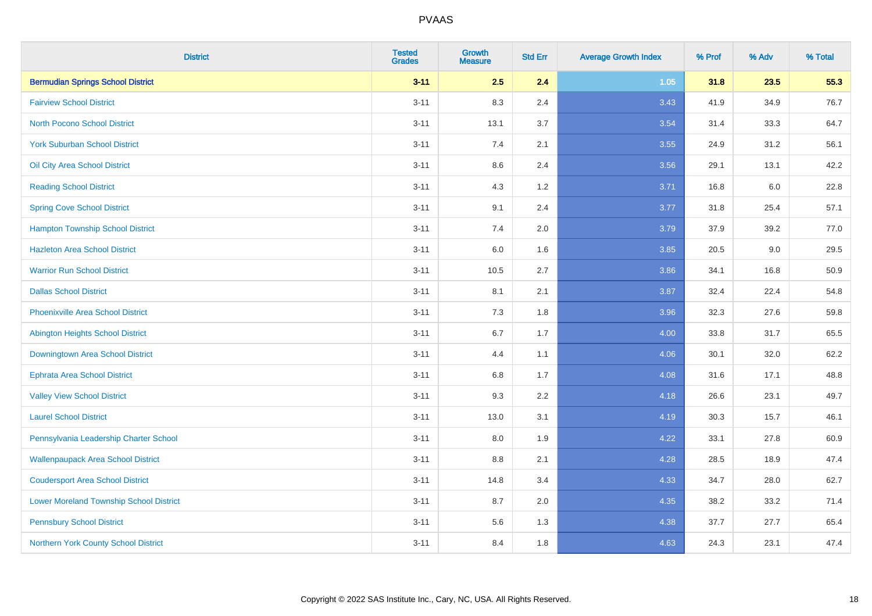| <b>District</b>                                | <b>Tested</b><br><b>Grades</b> | <b>Growth</b><br><b>Measure</b> | <b>Std Err</b> | <b>Average Growth Index</b> | % Prof | % Adv | % Total |
|------------------------------------------------|--------------------------------|---------------------------------|----------------|-----------------------------|--------|-------|---------|
| <b>Bermudian Springs School District</b>       | $3 - 11$                       | 2.5                             | 2.4            | $1.05$                      | 31.8   | 23.5  | 55.3    |
| <b>Fairview School District</b>                | $3 - 11$                       | 8.3                             | 2.4            | 3.43                        | 41.9   | 34.9  | 76.7    |
| <b>North Pocono School District</b>            | $3 - 11$                       | 13.1                            | 3.7            | 3.54                        | 31.4   | 33.3  | 64.7    |
| <b>York Suburban School District</b>           | $3 - 11$                       | 7.4                             | 2.1            | 3.55                        | 24.9   | 31.2  | 56.1    |
| Oil City Area School District                  | $3 - 11$                       | 8.6                             | 2.4            | 3.56                        | 29.1   | 13.1  | 42.2    |
| <b>Reading School District</b>                 | $3 - 11$                       | 4.3                             | 1.2            | 3.71                        | 16.8   | 6.0   | 22.8    |
| <b>Spring Cove School District</b>             | $3 - 11$                       | 9.1                             | 2.4            | 3.77                        | 31.8   | 25.4  | 57.1    |
| <b>Hampton Township School District</b>        | $3 - 11$                       | 7.4                             | 2.0            | 3.79                        | 37.9   | 39.2  | 77.0    |
| <b>Hazleton Area School District</b>           | $3 - 11$                       | 6.0                             | 1.6            | 3.85                        | 20.5   | 9.0   | 29.5    |
| <b>Warrior Run School District</b>             | $3 - 11$                       | 10.5                            | 2.7            | 3.86                        | 34.1   | 16.8  | 50.9    |
| <b>Dallas School District</b>                  | $3 - 11$                       | 8.1                             | 2.1            | 3.87                        | 32.4   | 22.4  | 54.8    |
| <b>Phoenixville Area School District</b>       | $3 - 11$                       | 7.3                             | 1.8            | 3.96                        | 32.3   | 27.6  | 59.8    |
| <b>Abington Heights School District</b>        | $3 - 11$                       | $6.7\,$                         | 1.7            | 4.00                        | 33.8   | 31.7  | 65.5    |
| Downingtown Area School District               | $3 - 11$                       | 4.4                             | 1.1            | 4.06                        | 30.1   | 32.0  | 62.2    |
| <b>Ephrata Area School District</b>            | $3 - 11$                       | 6.8                             | 1.7            | 4.08                        | 31.6   | 17.1  | 48.8    |
| <b>Valley View School District</b>             | $3 - 11$                       | 9.3                             | 2.2            | 4.18                        | 26.6   | 23.1  | 49.7    |
| <b>Laurel School District</b>                  | $3 - 11$                       | 13.0                            | 3.1            | 4.19                        | 30.3   | 15.7  | 46.1    |
| Pennsylvania Leadership Charter School         | $3 - 11$                       | 8.0                             | 1.9            | 4.22                        | 33.1   | 27.8  | 60.9    |
| <b>Wallenpaupack Area School District</b>      | $3 - 11$                       | $8.8\,$                         | 2.1            | 4.28                        | 28.5   | 18.9  | 47.4    |
| <b>Coudersport Area School District</b>        | $3 - 11$                       | 14.8                            | 3.4            | 4.33                        | 34.7   | 28.0  | 62.7    |
| <b>Lower Moreland Township School District</b> | $3 - 11$                       | 8.7                             | 2.0            | 4.35                        | 38.2   | 33.2  | 71.4    |
| <b>Pennsbury School District</b>               | $3 - 11$                       | 5.6                             | 1.3            | 4.38                        | 37.7   | 27.7  | 65.4    |
| Northern York County School District           | $3 - 11$                       | 8.4                             | 1.8            | 4.63                        | 24.3   | 23.1  | 47.4    |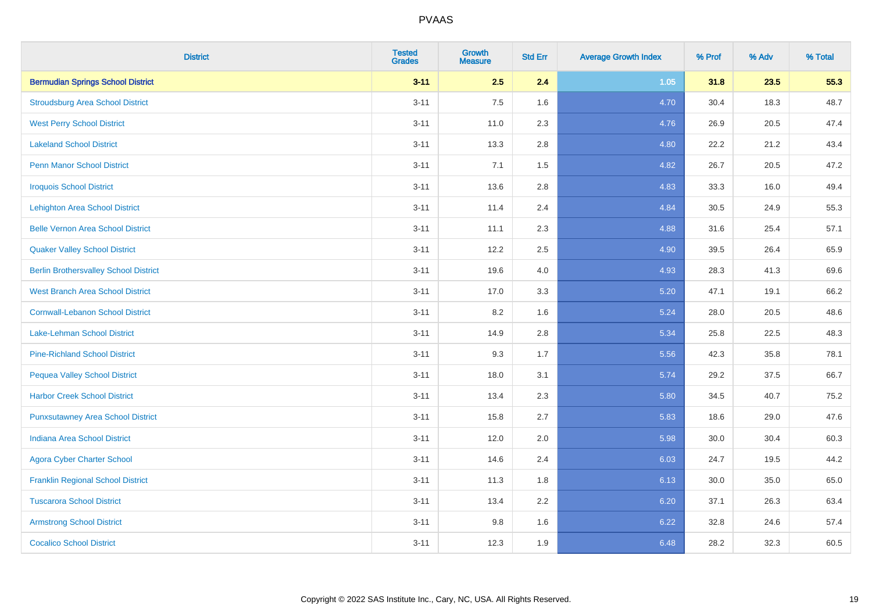| <b>District</b>                              | <b>Tested</b><br><b>Grades</b> | <b>Growth</b><br><b>Measure</b> | <b>Std Err</b> | <b>Average Growth Index</b> | % Prof | % Adv | % Total |
|----------------------------------------------|--------------------------------|---------------------------------|----------------|-----------------------------|--------|-------|---------|
| <b>Bermudian Springs School District</b>     | $3 - 11$                       | 2.5                             | 2.4            | $1.05$                      | 31.8   | 23.5  | 55.3    |
| <b>Stroudsburg Area School District</b>      | $3 - 11$                       | $7.5\,$                         | 1.6            | 4.70                        | 30.4   | 18.3  | 48.7    |
| <b>West Perry School District</b>            | $3 - 11$                       | 11.0                            | 2.3            | 4.76                        | 26.9   | 20.5  | 47.4    |
| <b>Lakeland School District</b>              | $3 - 11$                       | 13.3                            | 2.8            | 4.80                        | 22.2   | 21.2  | 43.4    |
| <b>Penn Manor School District</b>            | $3 - 11$                       | 7.1                             | 1.5            | 4.82                        | 26.7   | 20.5  | 47.2    |
| <b>Iroquois School District</b>              | $3 - 11$                       | 13.6                            | 2.8            | 4.83                        | 33.3   | 16.0  | 49.4    |
| <b>Lehighton Area School District</b>        | $3 - 11$                       | 11.4                            | 2.4            | 4.84                        | 30.5   | 24.9  | 55.3    |
| <b>Belle Vernon Area School District</b>     | $3 - 11$                       | 11.1                            | 2.3            | 4.88                        | 31.6   | 25.4  | 57.1    |
| <b>Quaker Valley School District</b>         | $3 - 11$                       | 12.2                            | 2.5            | 4.90                        | 39.5   | 26.4  | 65.9    |
| <b>Berlin Brothersvalley School District</b> | $3 - 11$                       | 19.6                            | 4.0            | 4.93                        | 28.3   | 41.3  | 69.6    |
| <b>West Branch Area School District</b>      | $3 - 11$                       | 17.0                            | 3.3            | 5.20                        | 47.1   | 19.1  | 66.2    |
| <b>Cornwall-Lebanon School District</b>      | $3 - 11$                       | 8.2                             | 1.6            | 5.24                        | 28.0   | 20.5  | 48.6    |
| Lake-Lehman School District                  | $3 - 11$                       | 14.9                            | 2.8            | 5.34                        | 25.8   | 22.5  | 48.3    |
| <b>Pine-Richland School District</b>         | $3 - 11$                       | 9.3                             | 1.7            | 5.56                        | 42.3   | 35.8  | 78.1    |
| <b>Pequea Valley School District</b>         | $3 - 11$                       | 18.0                            | 3.1            | 5.74                        | 29.2   | 37.5  | 66.7    |
| <b>Harbor Creek School District</b>          | $3 - 11$                       | 13.4                            | 2.3            | 5.80                        | 34.5   | 40.7  | 75.2    |
| <b>Punxsutawney Area School District</b>     | $3 - 11$                       | 15.8                            | 2.7            | 5.83                        | 18.6   | 29.0  | 47.6    |
| <b>Indiana Area School District</b>          | $3 - 11$                       | 12.0                            | 2.0            | 5.98                        | 30.0   | 30.4  | 60.3    |
| <b>Agora Cyber Charter School</b>            | $3 - 11$                       | 14.6                            | 2.4            | 6.03                        | 24.7   | 19.5  | 44.2    |
| <b>Franklin Regional School District</b>     | $3 - 11$                       | 11.3                            | 1.8            | 6.13                        | 30.0   | 35.0  | 65.0    |
| <b>Tuscarora School District</b>             | $3 - 11$                       | 13.4                            | 2.2            | 6.20                        | 37.1   | 26.3  | 63.4    |
| <b>Armstrong School District</b>             | $3 - 11$                       | $9.8\,$                         | 1.6            | 6.22                        | 32.8   | 24.6  | 57.4    |
| <b>Cocalico School District</b>              | $3 - 11$                       | 12.3                            | 1.9            | 6.48                        | 28.2   | 32.3  | 60.5    |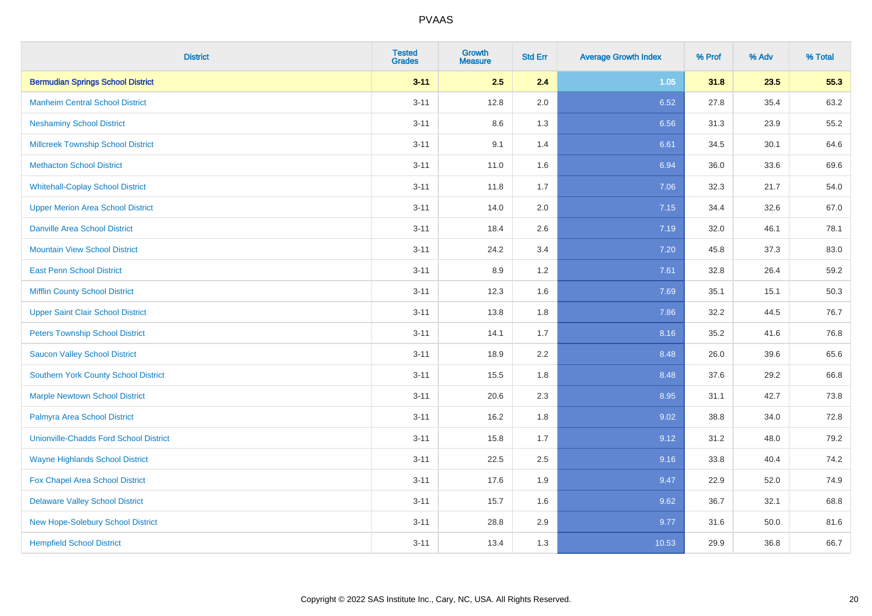| <b>District</b>                               | <b>Tested</b><br><b>Grades</b> | <b>Growth</b><br><b>Measure</b> | <b>Std Err</b> | <b>Average Growth Index</b> | % Prof | % Adv | % Total |
|-----------------------------------------------|--------------------------------|---------------------------------|----------------|-----------------------------|--------|-------|---------|
| <b>Bermudian Springs School District</b>      | $3 - 11$                       | 2.5                             | 2.4            | $1.05$                      | 31.8   | 23.5  | 55.3    |
| <b>Manheim Central School District</b>        | $3 - 11$                       | 12.8                            | 2.0            | 6.52                        | 27.8   | 35.4  | 63.2    |
| <b>Neshaminy School District</b>              | $3 - 11$                       | 8.6                             | 1.3            | 6.56                        | 31.3   | 23.9  | 55.2    |
| <b>Millcreek Township School District</b>     | $3 - 11$                       | 9.1                             | 1.4            | 6.61                        | 34.5   | 30.1  | 64.6    |
| <b>Methacton School District</b>              | $3 - 11$                       | 11.0                            | 1.6            | 6.94                        | 36.0   | 33.6  | 69.6    |
| <b>Whitehall-Coplay School District</b>       | $3 - 11$                       | 11.8                            | 1.7            | 7.06                        | 32.3   | 21.7  | 54.0    |
| <b>Upper Merion Area School District</b>      | $3 - 11$                       | 14.0                            | 2.0            | 7.15                        | 34.4   | 32.6  | 67.0    |
| <b>Danville Area School District</b>          | $3 - 11$                       | 18.4                            | 2.6            | 7.19                        | 32.0   | 46.1  | 78.1    |
| <b>Mountain View School District</b>          | $3 - 11$                       | 24.2                            | 3.4            | 7.20                        | 45.8   | 37.3  | 83.0    |
| <b>East Penn School District</b>              | $3 - 11$                       | 8.9                             | 1.2            | 7.61                        | 32.8   | 26.4  | 59.2    |
| <b>Mifflin County School District</b>         | $3 - 11$                       | 12.3                            | 1.6            | 7.69                        | 35.1   | 15.1  | 50.3    |
| <b>Upper Saint Clair School District</b>      | $3 - 11$                       | 13.8                            | 1.8            | 7.86                        | 32.2   | 44.5  | 76.7    |
| <b>Peters Township School District</b>        | $3 - 11$                       | 14.1                            | 1.7            | 8.16                        | 35.2   | 41.6  | 76.8    |
| <b>Saucon Valley School District</b>          | $3 - 11$                       | 18.9                            | 2.2            | 8.48                        | 26.0   | 39.6  | 65.6    |
| <b>Southern York County School District</b>   | $3 - 11$                       | 15.5                            | 1.8            | 8.48                        | 37.6   | 29.2  | 66.8    |
| <b>Marple Newtown School District</b>         | $3 - 11$                       | 20.6                            | 2.3            | 8.95                        | 31.1   | 42.7  | 73.8    |
| Palmyra Area School District                  | $3 - 11$                       | 16.2                            | 1.8            | 9.02                        | 38.8   | 34.0  | 72.8    |
| <b>Unionville-Chadds Ford School District</b> | $3 - 11$                       | 15.8                            | 1.7            | 9.12                        | 31.2   | 48.0  | 79.2    |
| <b>Wayne Highlands School District</b>        | $3 - 11$                       | 22.5                            | 2.5            | 9.16                        | 33.8   | 40.4  | 74.2    |
| Fox Chapel Area School District               | $3 - 11$                       | 17.6                            | 1.9            | 9.47                        | 22.9   | 52.0  | 74.9    |
| <b>Delaware Valley School District</b>        | $3 - 11$                       | 15.7                            | 1.6            | 9.62                        | 36.7   | 32.1  | 68.8    |
| New Hope-Solebury School District             | $3 - 11$                       | 28.8                            | 2.9            | 9.77                        | 31.6   | 50.0  | 81.6    |
| <b>Hempfield School District</b>              | $3 - 11$                       | 13.4                            | 1.3            | 10.53                       | 29.9   | 36.8  | 66.7    |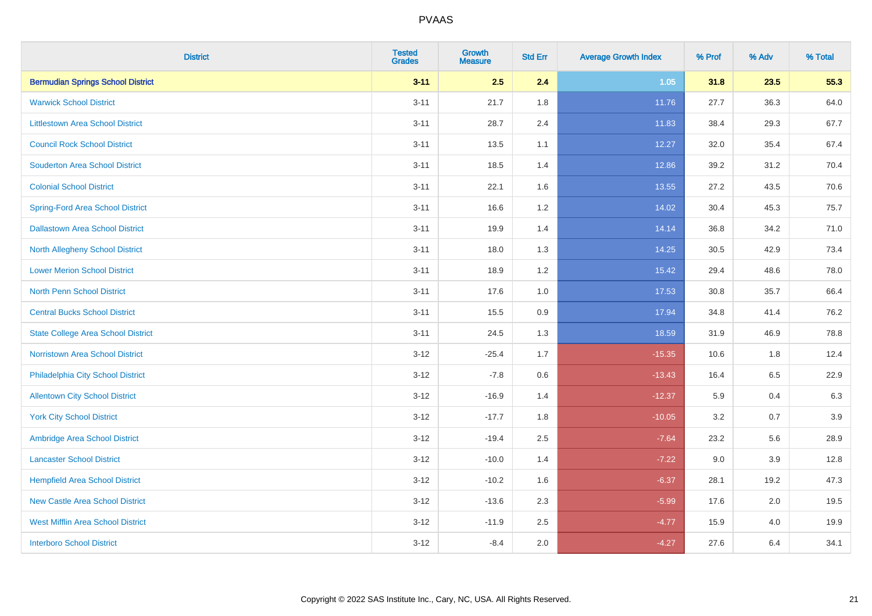| <b>District</b>                           | <b>Tested</b><br><b>Grades</b> | <b>Growth</b><br><b>Measure</b> | <b>Std Err</b> | <b>Average Growth Index</b> | % Prof | % Adv | % Total |
|-------------------------------------------|--------------------------------|---------------------------------|----------------|-----------------------------|--------|-------|---------|
| <b>Bermudian Springs School District</b>  | $3 - 11$                       | 2.5                             | 2.4            | $1.05$                      | 31.8   | 23.5  | 55.3    |
| <b>Warwick School District</b>            | $3 - 11$                       | 21.7                            | 1.8            | 11.76                       | 27.7   | 36.3  | 64.0    |
| <b>Littlestown Area School District</b>   | $3 - 11$                       | 28.7                            | 2.4            | 11.83                       | 38.4   | 29.3  | 67.7    |
| <b>Council Rock School District</b>       | $3 - 11$                       | 13.5                            | 1.1            | 12.27                       | 32.0   | 35.4  | 67.4    |
| <b>Souderton Area School District</b>     | $3 - 11$                       | 18.5                            | 1.4            | 12.86                       | 39.2   | 31.2  | 70.4    |
| <b>Colonial School District</b>           | $3 - 11$                       | 22.1                            | 1.6            | 13.55                       | 27.2   | 43.5  | 70.6    |
| <b>Spring-Ford Area School District</b>   | $3 - 11$                       | 16.6                            | 1.2            | 14.02                       | 30.4   | 45.3  | 75.7    |
| <b>Dallastown Area School District</b>    | $3 - 11$                       | 19.9                            | 1.4            | 14.14                       | 36.8   | 34.2  | 71.0    |
| <b>North Allegheny School District</b>    | $3 - 11$                       | 18.0                            | 1.3            | 14.25                       | 30.5   | 42.9  | 73.4    |
| <b>Lower Merion School District</b>       | $3 - 11$                       | 18.9                            | 1.2            | 15.42                       | 29.4   | 48.6  | 78.0    |
| <b>North Penn School District</b>         | $3 - 11$                       | 17.6                            | 1.0            | 17.53                       | 30.8   | 35.7  | 66.4    |
| <b>Central Bucks School District</b>      | $3 - 11$                       | 15.5                            | 0.9            | 17.94                       | 34.8   | 41.4  | 76.2    |
| <b>State College Area School District</b> | $3 - 11$                       | 24.5                            | 1.3            | 18.59                       | 31.9   | 46.9  | 78.8    |
| <b>Norristown Area School District</b>    | $3 - 12$                       | $-25.4$                         | 1.7            | $-15.35$                    | 10.6   | 1.8   | 12.4    |
| Philadelphia City School District         | $3 - 12$                       | $-7.8$                          | 0.6            | $-13.43$                    | 16.4   | 6.5   | 22.9    |
| <b>Allentown City School District</b>     | $3 - 12$                       | $-16.9$                         | 1.4            | $-12.37$                    | 5.9    | 0.4   | 6.3     |
| <b>York City School District</b>          | $3 - 12$                       | $-17.7$                         | 1.8            | $-10.05$                    | 3.2    | 0.7   | 3.9     |
| Ambridge Area School District             | $3 - 12$                       | $-19.4$                         | 2.5            | $-7.64$                     | 23.2   | 5.6   | 28.9    |
| <b>Lancaster School District</b>          | $3 - 12$                       | $-10.0$                         | 1.4            | $-7.22$                     | 9.0    | 3.9   | 12.8    |
| <b>Hempfield Area School District</b>     | $3 - 12$                       | $-10.2$                         | 1.6            | $-6.37$                     | 28.1   | 19.2  | 47.3    |
| <b>New Castle Area School District</b>    | $3 - 12$                       | $-13.6$                         | 2.3            | $-5.99$                     | 17.6   | 2.0   | 19.5    |
| <b>West Mifflin Area School District</b>  | $3 - 12$                       | $-11.9$                         | 2.5            | $-4.77$                     | 15.9   | 4.0   | 19.9    |
| <b>Interboro School District</b>          | $3 - 12$                       | $-8.4$                          | 2.0            | $-4.27$                     | 27.6   | 6.4   | 34.1    |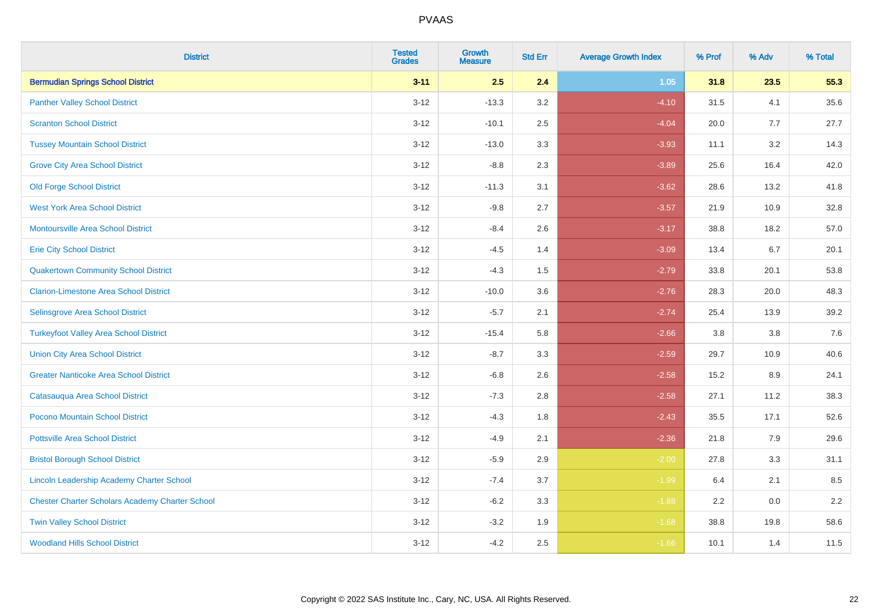| <b>District</b>                                        | <b>Tested</b><br><b>Grades</b> | <b>Growth</b><br><b>Measure</b> | <b>Std Err</b> | <b>Average Growth Index</b> | % Prof | % Adv   | % Total |
|--------------------------------------------------------|--------------------------------|---------------------------------|----------------|-----------------------------|--------|---------|---------|
| <b>Bermudian Springs School District</b>               | $3 - 11$                       | 2.5                             | 2.4            | $1.05$                      | 31.8   | 23.5    | 55.3    |
| <b>Panther Valley School District</b>                  | $3 - 12$                       | $-13.3$                         | 3.2            | $-4.10$                     | 31.5   | 4.1     | 35.6    |
| <b>Scranton School District</b>                        | $3 - 12$                       | $-10.1$                         | 2.5            | $-4.04$                     | 20.0   | 7.7     | 27.7    |
| <b>Tussey Mountain School District</b>                 | $3 - 12$                       | $-13.0$                         | 3.3            | $-3.93$                     | 11.1   | 3.2     | 14.3    |
| <b>Grove City Area School District</b>                 | $3 - 12$                       | $-8.8$                          | 2.3            | $-3.89$                     | 25.6   | 16.4    | 42.0    |
| <b>Old Forge School District</b>                       | $3 - 12$                       | $-11.3$                         | 3.1            | $-3.62$                     | 28.6   | 13.2    | 41.8    |
| <b>West York Area School District</b>                  | $3 - 12$                       | $-9.8$                          | 2.7            | $-3.57$                     | 21.9   | 10.9    | 32.8    |
| <b>Montoursville Area School District</b>              | $3 - 12$                       | $-8.4$                          | 2.6            | $-3.17$                     | 38.8   | 18.2    | 57.0    |
| <b>Erie City School District</b>                       | $3 - 12$                       | $-4.5$                          | 1.4            | $-3.09$                     | 13.4   | 6.7     | 20.1    |
| <b>Quakertown Community School District</b>            | $3 - 12$                       | $-4.3$                          | 1.5            | $-2.79$                     | 33.8   | 20.1    | 53.8    |
| <b>Clarion-Limestone Area School District</b>          | $3 - 12$                       | $-10.0$                         | 3.6            | $-2.76$                     | 28.3   | 20.0    | 48.3    |
| Selinsgrove Area School District                       | $3 - 12$                       | $-5.7$                          | 2.1            | $-2.74$                     | 25.4   | 13.9    | 39.2    |
| <b>Turkeyfoot Valley Area School District</b>          | $3 - 12$                       | $-15.4$                         | 5.8            | $-2.66$                     | 3.8    | $3.8\,$ | 7.6     |
| <b>Union City Area School District</b>                 | $3 - 12$                       | $-8.7$                          | 3.3            | $-2.59$                     | 29.7   | 10.9    | 40.6    |
| <b>Greater Nanticoke Area School District</b>          | $3 - 12$                       | $-6.8$                          | 2.6            | $-2.58$                     | 15.2   | 8.9     | 24.1    |
| Catasauqua Area School District                        | $3 - 12$                       | $-7.3$                          | 2.8            | $-2.58$                     | 27.1   | 11.2    | 38.3    |
| Pocono Mountain School District                        | $3 - 12$                       | $-4.3$                          | 1.8            | $-2.43$                     | 35.5   | 17.1    | 52.6    |
| <b>Pottsville Area School District</b>                 | $3 - 12$                       | $-4.9$                          | 2.1            | $-2.36$                     | 21.8   | 7.9     | 29.6    |
| <b>Bristol Borough School District</b>                 | $3 - 12$                       | $-5.9$                          | 2.9            | $-2.00$                     | 27.8   | 3.3     | 31.1    |
| Lincoln Leadership Academy Charter School              | $3 - 12$                       | $-7.4$                          | 3.7            | $-1.99$                     | 6.4    | 2.1     | 8.5     |
| <b>Chester Charter Scholars Academy Charter School</b> | $3 - 12$                       | $-6.2$                          | 3.3            | $-1.88$                     | 2.2    | 0.0     | 2.2     |
| <b>Twin Valley School District</b>                     | $3 - 12$                       | $-3.2$                          | 1.9            | $-1.68$                     | 38.8   | 19.8    | 58.6    |
| <b>Woodland Hills School District</b>                  | $3 - 12$                       | $-4.2$                          | 2.5            | $-1.66$                     | 10.1   | 1.4     | 11.5    |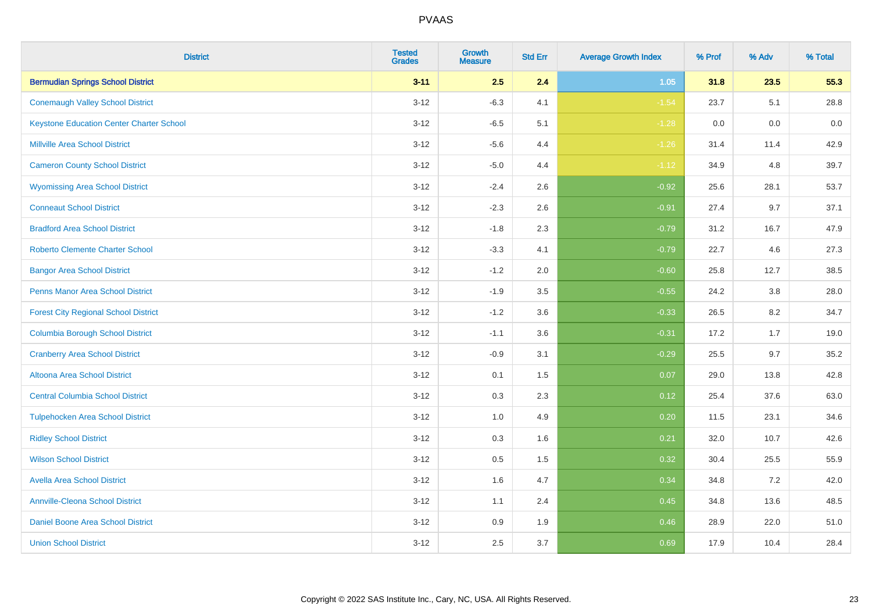| <b>District</b>                                 | <b>Tested</b><br><b>Grades</b> | <b>Growth</b><br><b>Measure</b> | <b>Std Err</b> | <b>Average Growth Index</b> | % Prof | % Adv | % Total |
|-------------------------------------------------|--------------------------------|---------------------------------|----------------|-----------------------------|--------|-------|---------|
| <b>Bermudian Springs School District</b>        | $3 - 11$                       | 2.5                             | 2.4            | 1.05                        | 31.8   | 23.5  | 55.3    |
| <b>Conemaugh Valley School District</b>         | $3 - 12$                       | $-6.3$                          | 4.1            | $-1.54$                     | 23.7   | 5.1   | 28.8    |
| <b>Keystone Education Center Charter School</b> | $3 - 12$                       | $-6.5$                          | 5.1            | $-1.28$                     | 0.0    | 0.0   | $0.0\,$ |
| <b>Millville Area School District</b>           | $3 - 12$                       | $-5.6$                          | 4.4            | $-1.26$                     | 31.4   | 11.4  | 42.9    |
| <b>Cameron County School District</b>           | $3 - 12$                       | $-5.0$                          | 4.4            | $-1.12$                     | 34.9   | 4.8   | 39.7    |
| <b>Wyomissing Area School District</b>          | $3 - 12$                       | $-2.4$                          | 2.6            | $-0.92$                     | 25.6   | 28.1  | 53.7    |
| <b>Conneaut School District</b>                 | $3 - 12$                       | $-2.3$                          | 2.6            | $-0.91$                     | 27.4   | 9.7   | 37.1    |
| <b>Bradford Area School District</b>            | $3 - 12$                       | $-1.8$                          | 2.3            | $-0.79$                     | 31.2   | 16.7  | 47.9    |
| <b>Roberto Clemente Charter School</b>          | $3 - 12$                       | $-3.3$                          | 4.1            | $-0.79$                     | 22.7   | 4.6   | 27.3    |
| <b>Bangor Area School District</b>              | $3 - 12$                       | $-1.2$                          | 2.0            | $-0.60$                     | 25.8   | 12.7  | 38.5    |
| <b>Penns Manor Area School District</b>         | $3 - 12$                       | $-1.9$                          | 3.5            | $-0.55$                     | 24.2   | 3.8   | 28.0    |
| <b>Forest City Regional School District</b>     | $3 - 12$                       | $-1.2$                          | 3.6            | $-0.33$                     | 26.5   | 8.2   | 34.7    |
| <b>Columbia Borough School District</b>         | $3 - 12$                       | $-1.1$                          | 3.6            | $-0.31$                     | 17.2   | 1.7   | 19.0    |
| <b>Cranberry Area School District</b>           | $3 - 12$                       | $-0.9$                          | 3.1            | $-0.29$                     | 25.5   | 9.7   | 35.2    |
| <b>Altoona Area School District</b>             | $3 - 12$                       | 0.1                             | 1.5            | 0.07                        | 29.0   | 13.8  | 42.8    |
| <b>Central Columbia School District</b>         | $3 - 12$                       | 0.3                             | 2.3            | 0.12                        | 25.4   | 37.6  | 63.0    |
| <b>Tulpehocken Area School District</b>         | $3 - 12$                       | 1.0                             | 4.9            | 0.20                        | 11.5   | 23.1  | 34.6    |
| <b>Ridley School District</b>                   | $3 - 12$                       | 0.3                             | 1.6            | 0.21                        | 32.0   | 10.7  | 42.6    |
| <b>Wilson School District</b>                   | $3-12$                         | 0.5                             | 1.5            | 0.32                        | 30.4   | 25.5  | 55.9    |
| <b>Avella Area School District</b>              | $3 - 12$                       | 1.6                             | 4.7            | 0.34                        | 34.8   | 7.2   | 42.0    |
| <b>Annville-Cleona School District</b>          | $3 - 12$                       | 1.1                             | 2.4            | 0.45                        | 34.8   | 13.6  | 48.5    |
| Daniel Boone Area School District               | $3 - 12$                       | 0.9                             | 1.9            | 0.46                        | 28.9   | 22.0  | 51.0    |
| <b>Union School District</b>                    | $3 - 12$                       | 2.5                             | 3.7            | 0.69                        | 17.9   | 10.4  | 28.4    |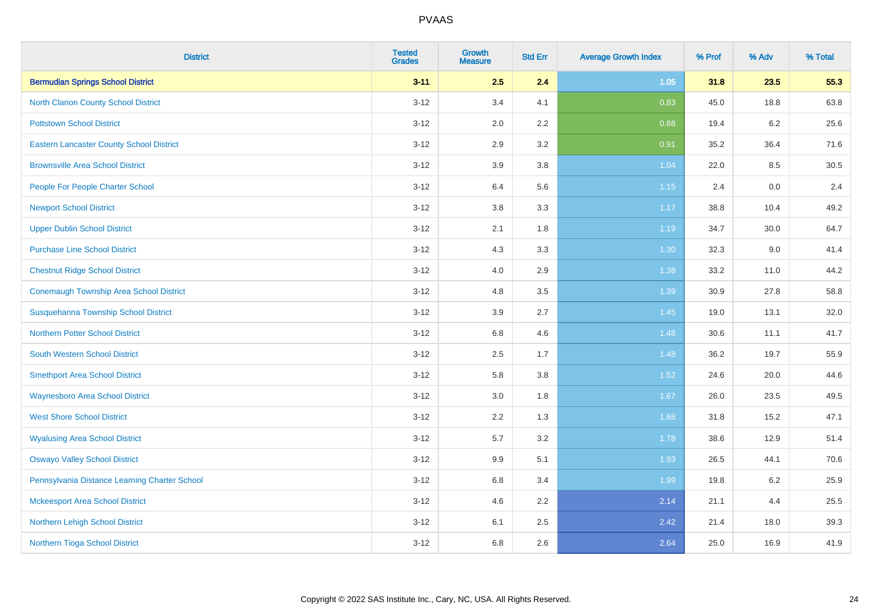| <b>District</b>                                 | <b>Tested</b><br><b>Grades</b> | Growth<br><b>Measure</b> | <b>Std Err</b> | <b>Average Growth Index</b> | % Prof | % Adv   | % Total |
|-------------------------------------------------|--------------------------------|--------------------------|----------------|-----------------------------|--------|---------|---------|
| <b>Bermudian Springs School District</b>        | $3 - 11$                       | 2.5                      | 2.4            | $1.05$                      | 31.8   | 23.5    | 55.3    |
| North Clarion County School District            | $3 - 12$                       | 3.4                      | 4.1            | 0.83                        | 45.0   | 18.8    | 63.8    |
| <b>Pottstown School District</b>                | $3 - 12$                       | 2.0                      | 2.2            | 0.88                        | 19.4   | 6.2     | 25.6    |
| <b>Eastern Lancaster County School District</b> | $3 - 12$                       | 2.9                      | 3.2            | 0.91                        | 35.2   | 36.4    | 71.6    |
| <b>Brownsville Area School District</b>         | $3 - 12$                       | 3.9                      | 3.8            | 1.04                        | 22.0   | 8.5     | 30.5    |
| People For People Charter School                | $3 - 12$                       | 6.4                      | 5.6            | 1.15                        | 2.4    | $0.0\,$ | 2.4     |
| <b>Newport School District</b>                  | $3 - 12$                       | $3.8\,$                  | 3.3            | 1.17                        | 38.8   | 10.4    | 49.2    |
| <b>Upper Dublin School District</b>             | $3 - 12$                       | 2.1                      | 1.8            | 1.19                        | 34.7   | 30.0    | 64.7    |
| <b>Purchase Line School District</b>            | $3 - 12$                       | 4.3                      | 3.3            | 1.30                        | 32.3   | 9.0     | 41.4    |
| <b>Chestnut Ridge School District</b>           | $3 - 12$                       | 4.0                      | 2.9            | 1.38                        | 33.2   | 11.0    | 44.2    |
| Conemaugh Township Area School District         | $3 - 12$                       | 4.8                      | 3.5            | 1.39                        | 30.9   | 27.8    | 58.8    |
| Susquehanna Township School District            | $3 - 12$                       | 3.9                      | 2.7            | 1.45                        | 19.0   | 13.1    | 32.0    |
| Northern Potter School District                 | $3 - 12$                       | 6.8                      | 4.6            | 1.48                        | 30.6   | 11.1    | 41.7    |
| <b>South Western School District</b>            | $3 - 12$                       | 2.5                      | 1.7            | 1.48                        | 36.2   | 19.7    | 55.9    |
| <b>Smethport Area School District</b>           | $3 - 12$                       | 5.8                      | 3.8            | 1.52                        | 24.6   | 20.0    | 44.6    |
| <b>Waynesboro Area School District</b>          | $3 - 12$                       | 3.0                      | 1.8            | 1.67                        | 26.0   | 23.5    | 49.5    |
| <b>West Shore School District</b>               | $3 - 12$                       | 2.2                      | 1.3            | 1.68                        | 31.8   | 15.2    | 47.1    |
| <b>Wyalusing Area School District</b>           | $3 - 12$                       | 5.7                      | 3.2            | 1.78                        | 38.6   | 12.9    | 51.4    |
| <b>Oswayo Valley School District</b>            | $3 - 12$                       | 9.9                      | 5.1            | 1.93                        | 26.5   | 44.1    | 70.6    |
| Pennsylvania Distance Learning Charter School   | $3 - 12$                       | 6.8                      | 3.4            | 1.99                        | 19.8   | 6.2     | 25.9    |
| <b>Mckeesport Area School District</b>          | $3 - 12$                       | 4.6                      | 2.2            | 2.14                        | 21.1   | 4.4     | 25.5    |
| Northern Lehigh School District                 | $3 - 12$                       | 6.1                      | 2.5            | 2.42                        | 21.4   | 18.0    | 39.3    |
| Northern Tioga School District                  | $3 - 12$                       | 6.8                      | 2.6            | 2.64                        | 25.0   | 16.9    | 41.9    |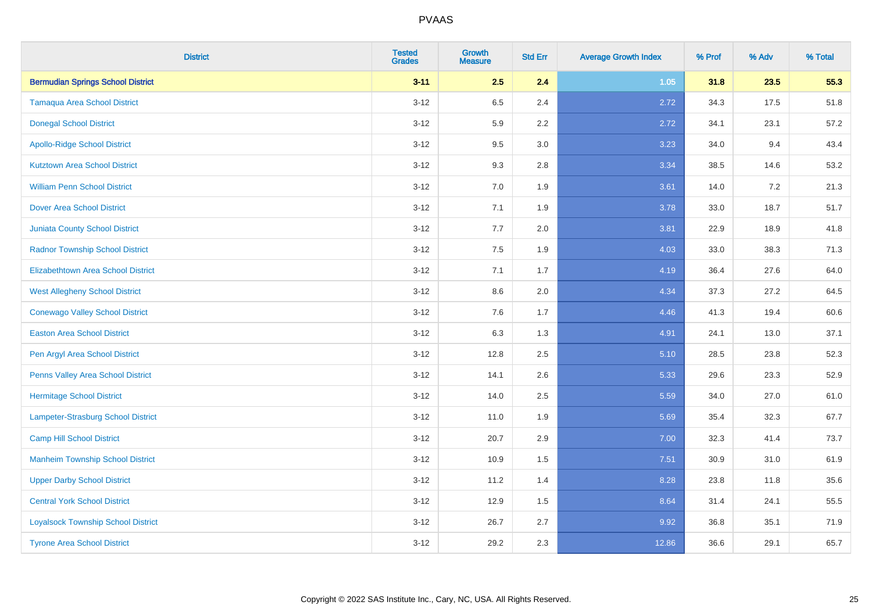| <b>District</b>                           | <b>Tested</b><br><b>Grades</b> | <b>Growth</b><br><b>Measure</b> | <b>Std Err</b> | <b>Average Growth Index</b> | % Prof | % Adv | % Total |
|-------------------------------------------|--------------------------------|---------------------------------|----------------|-----------------------------|--------|-------|---------|
| <b>Bermudian Springs School District</b>  | $3 - 11$                       | 2.5                             | 2.4            | $1.05$                      | 31.8   | 23.5  | 55.3    |
| <b>Tamaqua Area School District</b>       | $3 - 12$                       | 6.5                             | 2.4            | 2.72                        | 34.3   | 17.5  | 51.8    |
| <b>Donegal School District</b>            | $3 - 12$                       | 5.9                             | 2.2            | 2.72                        | 34.1   | 23.1  | 57.2    |
| <b>Apollo-Ridge School District</b>       | $3 - 12$                       | 9.5                             | 3.0            | 3.23                        | 34.0   | 9.4   | 43.4    |
| <b>Kutztown Area School District</b>      | $3 - 12$                       | 9.3                             | 2.8            | 3.34                        | 38.5   | 14.6  | 53.2    |
| <b>William Penn School District</b>       | $3 - 12$                       | 7.0                             | 1.9            | 3.61                        | 14.0   | 7.2   | 21.3    |
| <b>Dover Area School District</b>         | $3 - 12$                       | 7.1                             | 1.9            | 3.78                        | 33.0   | 18.7  | 51.7    |
| <b>Juniata County School District</b>     | $3 - 12$                       | 7.7                             | 2.0            | 3.81                        | 22.9   | 18.9  | 41.8    |
| <b>Radnor Township School District</b>    | $3 - 12$                       | 7.5                             | 1.9            | 4.03                        | 33.0   | 38.3  | 71.3    |
| <b>Elizabethtown Area School District</b> | $3 - 12$                       | 7.1                             | 1.7            | 4.19                        | 36.4   | 27.6  | 64.0    |
| <b>West Allegheny School District</b>     | $3 - 12$                       | 8.6                             | 2.0            | 4.34                        | 37.3   | 27.2  | 64.5    |
| <b>Conewago Valley School District</b>    | $3 - 12$                       | 7.6                             | 1.7            | 4.46                        | 41.3   | 19.4  | 60.6    |
| <b>Easton Area School District</b>        | $3 - 12$                       | 6.3                             | 1.3            | 4.91                        | 24.1   | 13.0  | 37.1    |
| Pen Argyl Area School District            | $3 - 12$                       | 12.8                            | 2.5            | 5.10                        | 28.5   | 23.8  | 52.3    |
| Penns Valley Area School District         | $3 - 12$                       | 14.1                            | 2.6            | 5.33                        | 29.6   | 23.3  | 52.9    |
| <b>Hermitage School District</b>          | $3 - 12$                       | 14.0                            | 2.5            | 5.59                        | 34.0   | 27.0  | 61.0    |
| Lampeter-Strasburg School District        | $3 - 12$                       | 11.0                            | 1.9            | 5.69                        | 35.4   | 32.3  | 67.7    |
| <b>Camp Hill School District</b>          | $3 - 12$                       | 20.7                            | 2.9            | 7.00                        | 32.3   | 41.4  | 73.7    |
| <b>Manheim Township School District</b>   | $3 - 12$                       | 10.9                            | 1.5            | 7.51                        | 30.9   | 31.0  | 61.9    |
| <b>Upper Darby School District</b>        | $3 - 12$                       | 11.2                            | 1.4            | 8.28                        | 23.8   | 11.8  | 35.6    |
| <b>Central York School District</b>       | $3 - 12$                       | 12.9                            | 1.5            | 8.64                        | 31.4   | 24.1  | 55.5    |
| <b>Loyalsock Township School District</b> | $3 - 12$                       | 26.7                            | 2.7            | 9.92                        | 36.8   | 35.1  | 71.9    |
| <b>Tyrone Area School District</b>        | $3 - 12$                       | 29.2                            | 2.3            | 12.86                       | 36.6   | 29.1  | 65.7    |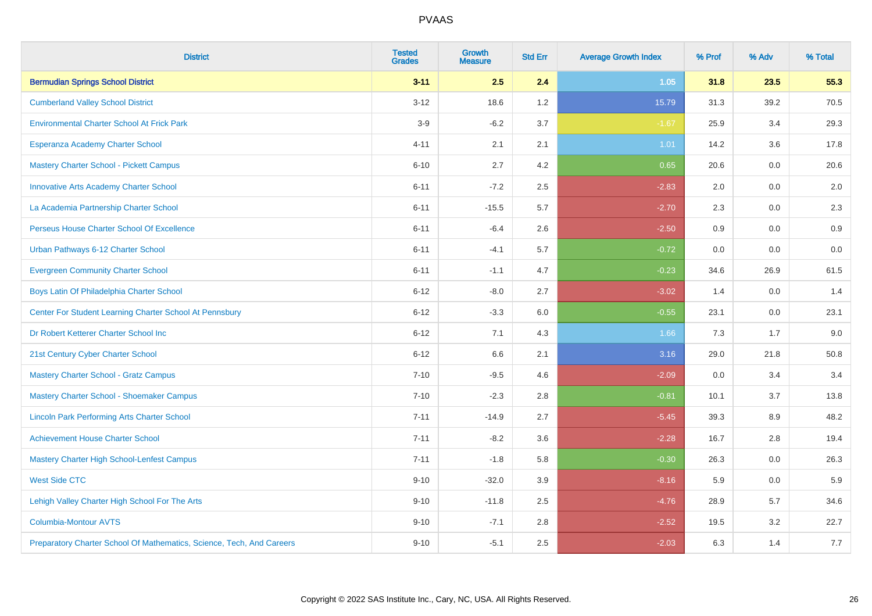| <b>District</b>                                                       | <b>Tested</b><br><b>Grades</b> | <b>Growth</b><br><b>Measure</b> | <b>Std Err</b> | <b>Average Growth Index</b> | % Prof | % Adv | % Total |
|-----------------------------------------------------------------------|--------------------------------|---------------------------------|----------------|-----------------------------|--------|-------|---------|
| <b>Bermudian Springs School District</b>                              | $3 - 11$                       | 2.5                             | 2.4            | 1.05                        | 31.8   | 23.5  | 55.3    |
| <b>Cumberland Valley School District</b>                              | $3 - 12$                       | 18.6                            | 1.2            | 15.79                       | 31.3   | 39.2  | 70.5    |
| <b>Environmental Charter School At Frick Park</b>                     | $3-9$                          | $-6.2$                          | 3.7            | $-1.67$                     | 25.9   | 3.4   | 29.3    |
| Esperanza Academy Charter School                                      | $4 - 11$                       | 2.1                             | 2.1            | 1.01                        | 14.2   | 3.6   | 17.8    |
| <b>Mastery Charter School - Pickett Campus</b>                        | $6 - 10$                       | 2.7                             | 4.2            | 0.65                        | 20.6   | 0.0   | 20.6    |
| <b>Innovative Arts Academy Charter School</b>                         | $6 - 11$                       | $-7.2$                          | 2.5            | $-2.83$                     | 2.0    | 0.0   | 2.0     |
| La Academia Partnership Charter School                                | $6 - 11$                       | $-15.5$                         | 5.7            | $-2.70$                     | 2.3    | 0.0   | 2.3     |
| Perseus House Charter School Of Excellence                            | $6 - 11$                       | $-6.4$                          | 2.6            | $-2.50$                     | 0.9    | 0.0   | 0.9     |
| Urban Pathways 6-12 Charter School                                    | $6 - 11$                       | $-4.1$                          | 5.7            | $-0.72$                     | 0.0    | 0.0   | $0.0\,$ |
| <b>Evergreen Community Charter School</b>                             | $6 - 11$                       | $-1.1$                          | 4.7            | $-0.23$                     | 34.6   | 26.9  | 61.5    |
| Boys Latin Of Philadelphia Charter School                             | $6 - 12$                       | $-8.0$                          | 2.7            | $-3.02$                     | 1.4    | 0.0   | 1.4     |
| Center For Student Learning Charter School At Pennsbury               | $6 - 12$                       | $-3.3$                          | 6.0            | $-0.55$                     | 23.1   | 0.0   | 23.1    |
| Dr Robert Ketterer Charter School Inc                                 | $6 - 12$                       | 7.1                             | 4.3            | 1.66                        | 7.3    | 1.7   | 9.0     |
| 21st Century Cyber Charter School                                     | $6 - 12$                       | 6.6                             | 2.1            | 3.16                        | 29.0   | 21.8  | 50.8    |
| <b>Mastery Charter School - Gratz Campus</b>                          | $7 - 10$                       | $-9.5$                          | 4.6            | $-2.09$                     | 0.0    | 3.4   | 3.4     |
| Mastery Charter School - Shoemaker Campus                             | $7 - 10$                       | $-2.3$                          | 2.8            | $-0.81$                     | 10.1   | 3.7   | 13.8    |
| <b>Lincoln Park Performing Arts Charter School</b>                    | $7 - 11$                       | $-14.9$                         | 2.7            | $-5.45$                     | 39.3   | 8.9   | 48.2    |
| <b>Achievement House Charter School</b>                               | $7 - 11$                       | $-8.2$                          | 3.6            | $-2.28$                     | 16.7   | 2.8   | 19.4    |
| <b>Mastery Charter High School-Lenfest Campus</b>                     | $7 - 11$                       | $-1.8$                          | 5.8            | $-0.30$                     | 26.3   | 0.0   | 26.3    |
| <b>West Side CTC</b>                                                  | $9 - 10$                       | $-32.0$                         | 3.9            | $-8.16$                     | 5.9    | 0.0   | 5.9     |
| Lehigh Valley Charter High School For The Arts                        | $9 - 10$                       | $-11.8$                         | 2.5            | $-4.76$                     | 28.9   | 5.7   | 34.6    |
| <b>Columbia-Montour AVTS</b>                                          | $9 - 10$                       | $-7.1$                          | 2.8            | $-2.52$                     | 19.5   | 3.2   | 22.7    |
| Preparatory Charter School Of Mathematics, Science, Tech, And Careers | $9 - 10$                       | $-5.1$                          | 2.5            | $-2.03$                     | 6.3    | 1.4   | 7.7     |